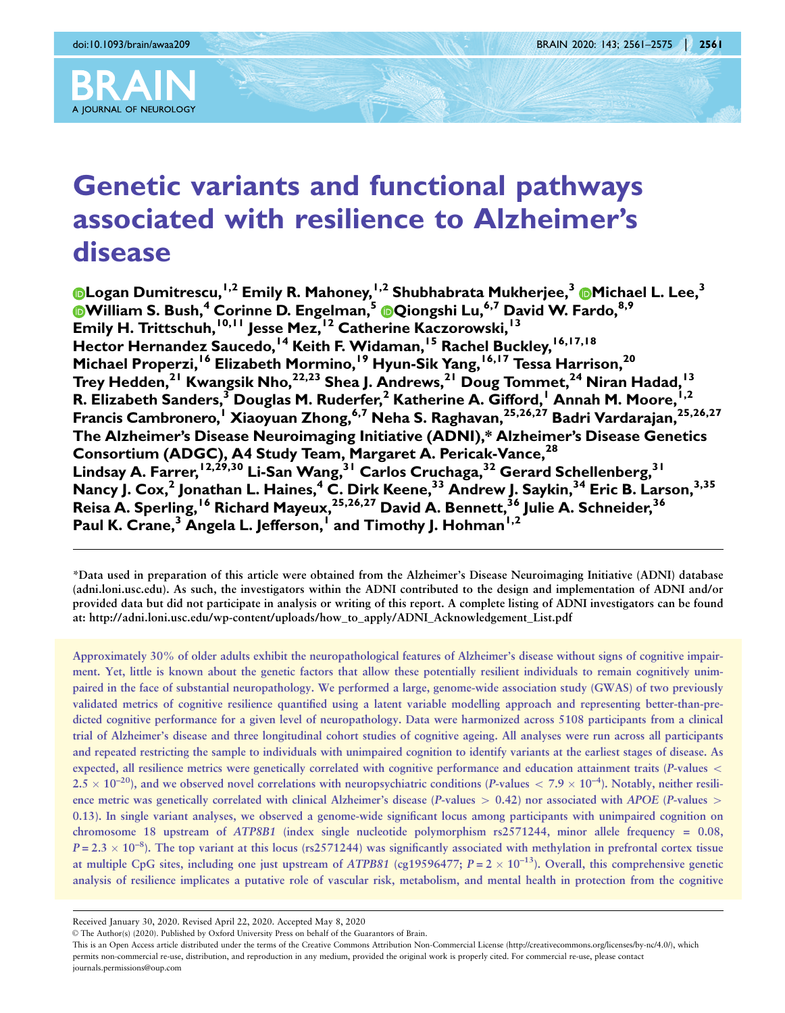

# Genetic variants and functional pathways associated with resilience to Alzheimer's disease

[L](http://orcid.org/0000-0002-9782-9944)ogan Dumitrescu,<sup>I,2</sup> Emily R. [M](http://orcid.org/0000-0002-3112-1214)ahoney,<sup>I,2</sup> Shubhabrata Mukherjee,<sup>3</sup> @Michael L. Lee,<sup>3</sup> [W](http://orcid.org/0000-0002-9729-6519)illiam S. Bush,<sup>4</sup> Corinne D. Engelman,<sup>5</sup> @Qiongshi Lu,<sup>6,7</sup> David W. Fardo,<sup>8,9</sup> Emily H. Trittschuh,<sup>10,11</sup> Jesse Mez,<sup>12</sup> Catherine Kaczorowski,<sup>13</sup> Hector Hernandez Saucedo, <sup>14</sup> Keith F. Widaman, <sup>15</sup> Rachel Buckley, <sup>16,17,18</sup> Michael Properzi,<sup>16</sup> Elizabeth Mormino,<sup>19</sup> Hyun-Sik Yang,<sup>16,17</sup> Tessa Harrison,<sup>20</sup> Trey Hedden,<sup>21</sup> Kwangsik Nho,<sup>22,23</sup> Shea J. Andrews,<sup>21</sup> Doug Tommet,<sup>24</sup> Niran Hadad,<sup>13</sup> R. Elizabeth Sanders,<sup>3</sup> Douglas M. Ruderfer,<sup>2</sup> Katherine A. Gifford,<sup>I</sup> Annah M. Moore,<sup>I,2</sup> Francis Cambronero,<sup>1</sup> Xiaoyuan Zhong,<sup>6,7</sup> Neha S. Raghavan,<sup>25,26,27</sup> Badri Vardarajan,<sup>25,26,27</sup> The Alzheimer's Disease Neuroimaging Initiative (ADNI),\* Alzheimer's Disease Genetics Consortium (ADGC), A4 Study Team, Margaret A. Pericak-Vance,<sup>28</sup> Lindsay A. Farrer, <sup>12,29,30</sup> Li-San Wang, <sup>31</sup> Carlos Cruchaga, <sup>32</sup> Gerard Schellenberg, <sup>31</sup> Nancy J. Cox,<sup>2</sup> Jonathan L. Haines,<sup>4</sup> C. Dirk Keene,<sup>33</sup> Andrew J. Saykin,<sup>34</sup> Eric B. Larson,<sup>3,35</sup> Reisa A. Sperling,<sup>16</sup> Richard Mayeux,<sup>25,26,27</sup> David A. Bennett,<sup>36</sup> Julie A. Schneider,<sup>36</sup> Paul K. Crane,<sup>3</sup> Angela L. Jefferson,<sup>1</sup> and Timothy J. Hohman<sup>1,2</sup>

\*Data used in preparation of this article were obtained from the Alzheimer's Disease Neuroimaging Initiative (ADNI) database (adni.loni.usc.edu). As such, the investigators within the ADNI contributed to the design and implementation of ADNI and/or provided data but did not participate in analysis or writing of this report. A complete listing of ADNI investigators can be found at: http://adni.loni.usc.edu/wp-content/uploads/how\_to\_apply/ADNI\_Acknowledgement\_List.pdf

Approximately 30% of older adults exhibit the neuropathological features of Alzheimer's disease without signs of cognitive impairment. Yet, little is known about the genetic factors that allow these potentially resilient individuals to remain cognitively unimpaired in the face of substantial neuropathology. We performed a large, genome-wide association study (GWAS) of two previously validated metrics of cognitive resilience quantified using a latent variable modelling approach and representing better-than-predicted cognitive performance for a given level of neuropathology. Data were harmonized across 5108 participants from a clinical trial of Alzheimer's disease and three longitudinal cohort studies of cognitive ageing. All analyses were run across all participants and repeated restricting the sample to individuals with unimpaired cognition to identify variants at the earliest stages of disease. As expected, all resilience metrics were genetically correlated with cognitive performance and education attainment traits (P-values <  $2.5 \times 10^{-20}$ ), and we observed novel correlations with neuropsychiatric conditions (P-values  $< 7.9 \times 10^{-4}$ ). Notably, neither resilience metric was genetically correlated with clinical Alzheimer's disease (P-values  $> 0.42$ ) nor associated with APOE (P-values  $>$ 0.13). In single variant analyses, we observed a genome-wide significant locus among participants with unimpaired cognition on chromosome 18 upstream of ATP8B1 (index single nucleotide polymorphism rs2571244, minor allele frequency = 0.08,  $P = 2.3 \times 10^{-8}$ ). The top variant at this locus (rs2571244) was significantly associated with methylation in prefrontal cortex tissue at multiple CpG sites, including one just upstream of ATPB81 (cg19596477;  $P = 2 \times 10^{-13}$ ). Overall, this comprehensive genetic analysis of resilience implicates a putative role of vascular risk, metabolism, and mental health in protection from the cognitive

Received January 30, 2020. Revised April 22, 2020. Accepted May 8, 2020

V<sup>C</sup> The Author(s) (2020). Published by Oxford University Press on behalf of the Guarantors of Brain.

This is an Open Access article distributed under the terms of the Creative Commons Attribution Non-Commercial License (http://creativecommons.org/licenses/by-nc/4.0/), which permits non-commercial re-use, distribution, and reproduction in any medium, provided the original work is properly cited. For commercial re-use, please contact journals.permissions@oup.com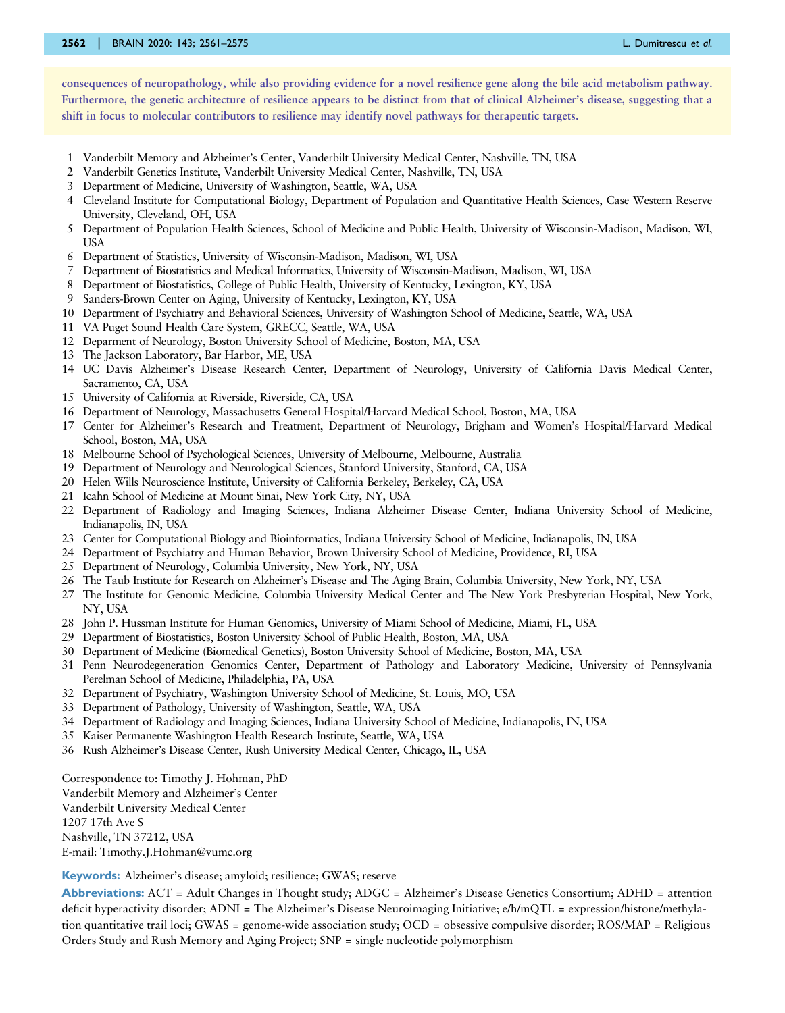#### 2562 | BRAIN 2020: 143; 2561–2575 L. Dumitrescu et al.

consequences of neuropathology, while also providing evidence for a novel resilience gene along the bile acid metabolism pathway. Furthermore, the genetic architecture of resilience appears to be distinct from that of clinical Alzheimer's disease, suggesting that a shift in focus to molecular contributors to resilience may identify novel pathways for therapeutic targets.

- 1 Vanderbilt Memory and Alzheimer's Center, Vanderbilt University Medical Center, Nashville, TN, USA
- 2 Vanderbilt Genetics Institute, Vanderbilt University Medical Center, Nashville, TN, USA
- 3 Department of Medicine, University of Washington, Seattle, WA, USA
- 4 Cleveland Institute for Computational Biology, Department of Population and Quantitative Health Sciences, Case Western Reserve University, Cleveland, OH, USA
- 5 Department of Population Health Sciences, School of Medicine and Public Health, University of Wisconsin-Madison, Madison, WI, **USA**
- 6 Department of Statistics, University of Wisconsin-Madison, Madison, WI, USA
- 7 Department of Biostatistics and Medical Informatics, University of Wisconsin-Madison, Madison, WI, USA
- 8 Department of Biostatistics, College of Public Health, University of Kentucky, Lexington, KY, USA
- 9 Sanders-Brown Center on Aging, University of Kentucky, Lexington, KY, USA
- 10 Department of Psychiatry and Behavioral Sciences, University of Washington School of Medicine, Seattle, WA, USA
- 11 VA Puget Sound Health Care System, GRECC, Seattle, WA, USA
- 12 Deparment of Neurology, Boston University School of Medicine, Boston, MA, USA
- 13 The Jackson Laboratory, Bar Harbor, ME, USA
- 14 UC Davis Alzheimer's Disease Research Center, Department of Neurology, University of California Davis Medical Center, Sacramento, CA, USA
- 15 University of California at Riverside, Riverside, CA, USA
- 16 Department of Neurology, Massachusetts General Hospital/Harvard Medical School, Boston, MA, USA
- 17 Center for Alzheimer's Research and Treatment, Department of Neurology, Brigham and Women's Hospital/Harvard Medical School, Boston, MA, USA
- 18 Melbourne School of Psychological Sciences, University of Melbourne, Melbourne, Australia
- 19 Department of Neurology and Neurological Sciences, Stanford University, Stanford, CA, USA
- 20 Helen Wills Neuroscience Institute, University of California Berkeley, Berkeley, CA, USA
- 21 Icahn School of Medicine at Mount Sinai, New York City, NY, USA
- 22 Department of Radiology and Imaging Sciences, Indiana Alzheimer Disease Center, Indiana University School of Medicine, Indianapolis, IN, USA
- 23 Center for Computational Biology and Bioinformatics, Indiana University School of Medicine, Indianapolis, IN, USA
- 24 Department of Psychiatry and Human Behavior, Brown University School of Medicine, Providence, RI, USA
- 25 Department of Neurology, Columbia University, New York, NY, USA
- 26 The Taub Institute for Research on Alzheimer's Disease and The Aging Brain, Columbia University, New York, NY, USA
- 27 The Institute for Genomic Medicine, Columbia University Medical Center and The New York Presbyterian Hospital, New York, NY, USA
- 28 John P. Hussman Institute for Human Genomics, University of Miami School of Medicine, Miami, FL, USA
- 29 Department of Biostatistics, Boston University School of Public Health, Boston, MA, USA
- 30 Department of Medicine (Biomedical Genetics), Boston University School of Medicine, Boston, MA, USA
- 31 Penn Neurodegeneration Genomics Center, Department of Pathology and Laboratory Medicine, University of Pennsylvania Perelman School of Medicine, Philadelphia, PA, USA
- 32 Department of Psychiatry, Washington University School of Medicine, St. Louis, MO, USA
- 33 Department of Pathology, University of Washington, Seattle, WA, USA
- 34 Department of Radiology and Imaging Sciences, Indiana University School of Medicine, Indianapolis, IN, USA
- 35 Kaiser Permanente Washington Health Research Institute, Seattle, WA, USA
- 36 Rush Alzheimer's Disease Center, Rush University Medical Center, Chicago, IL, USA

Correspondence to: Timothy J. Hohman, PhD Vanderbilt Memory and Alzheimer's Center Vanderbilt University Medical Center 1207 17th Ave S Nashville, TN 37212, USA E-mail: Timothy.J.Hohman@vumc.org

Keywords: Alzheimer's disease; amyloid; resilience; GWAS; reserve

Abbreviations: ACT = Adult Changes in Thought study; ADGC = Alzheimer's Disease Genetics Consortium; ADHD = attention deficit hyperactivity disorder; ADNI = The Alzheimer's Disease Neuroimaging Initiative; e/h/mQTL = expression/histone/methylation quantitative trail loci; GWAS = genome-wide association study; OCD = obsessive compulsive disorder; ROS/MAP = Religious Orders Study and Rush Memory and Aging Project; SNP = single nucleotide polymorphism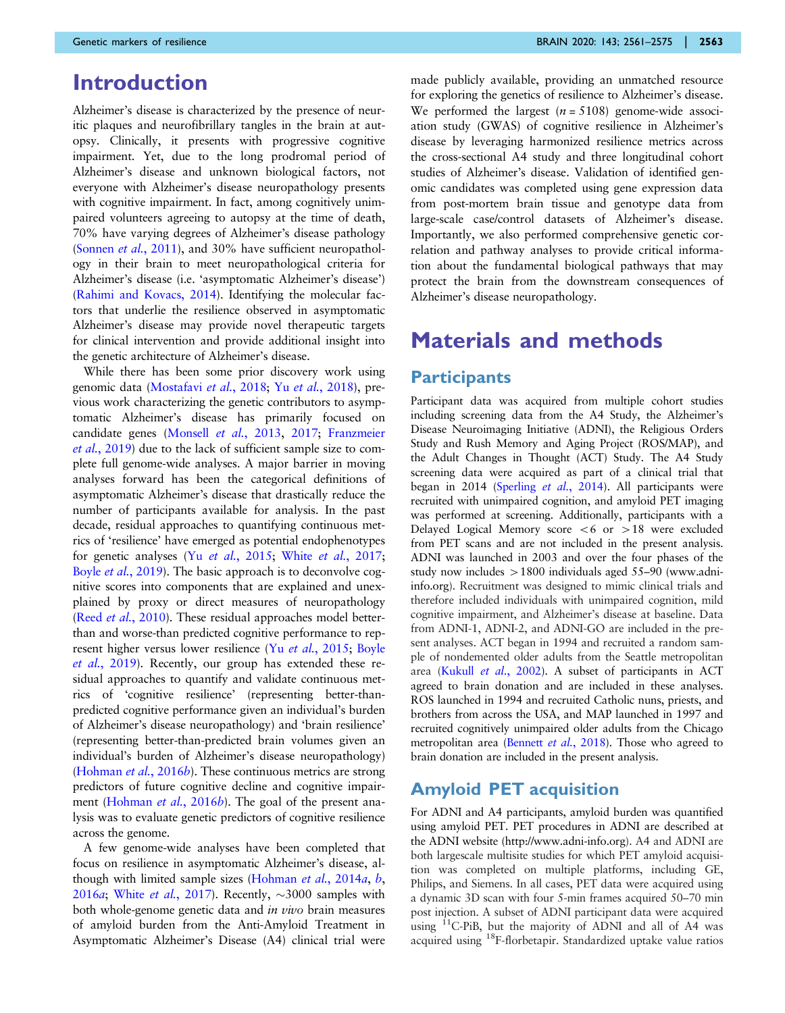### Introduction

Alzheimer's disease is characterized by the presence of neuritic plaques and neurofibrillary tangles in the brain at autopsy. Clinically, it presents with progressive cognitive impairment. Yet, due to the long prodromal period of Alzheimer's disease and unknown biological factors, not everyone with Alzheimer's disease neuropathology presents with cognitive impairment. In fact, among cognitively unimpaired volunteers agreeing to autopsy at the time of death, 70% have varying degrees of Alzheimer's disease pathology ([Sonnen](#page-14-0) et al., 2011), and 30% have sufficient neuropathology in their brain to meet neuropathological criteria for Alzheimer's disease (i.e. 'asymptomatic Alzheimer's disease') ([Rahimi and Kovacs, 2014\)](#page-14-0). Identifying the molecular factors that underlie the resilience observed in asymptomatic Alzheimer's disease may provide novel therapeutic targets for clinical intervention and provide additional insight into the genetic architecture of Alzheimer's disease.

While there has been some prior discovery work using genomic data [\(Mostafavi](#page-14-0) et al., 2018; Yu et al.[, 2018\)](#page-14-0), previous work characterizing the genetic contributors to asymptomatic Alzheimer's disease has primarily focused on candidate genes ([Monsell](#page-14-0) et al., 2013, [2017;](#page-13-0) [Franzmeier](#page-13-0) et al.[, 2019](#page-13-0)) due to the lack of sufficient sample size to complete full genome-wide analyses. A major barrier in moving analyses forward has been the categorical definitions of asymptomatic Alzheimer's disease that drastically reduce the number of participants available for analysis. In the past decade, residual approaches to quantifying continuous metrics of 'resilience' have emerged as potential endophenotypes for genetic analyses (Yu et al.[, 2015](#page-14-0); White et al.[, 2017](#page-14-0); Boyle *et al.*[, 2019\)](#page-13-0). The basic approach is to deconvolve cognitive scores into components that are explained and unexplained by proxy or direct measures of neuropathology (Reed *et al.*[, 2010](#page-14-0)). These residual approaches model betterthan and worse-than predicted cognitive performance to represent higher versus lower resilience (Yu et al.[, 2015](#page-14-0); [Boyle](#page-13-0) et al.[, 2019](#page-13-0)). Recently, our group has extended these residual approaches to quantify and validate continuous metrics of 'cognitive resilience' (representing better-thanpredicted cognitive performance given an individual's burden of Alzheimer's disease neuropathology) and 'brain resilience' (representing better-than-predicted brain volumes given an individual's burden of Alzheimer's disease neuropathology) ([Hohman](#page-13-0) *et al.*, 2016b). These continuous metrics are strong predictors of future cognitive decline and cognitive impair-ment [\(Hohman](#page-13-0) et al., 2016b). The goal of the present analysis was to evaluate genetic predictors of cognitive resilience across the genome.

A few genome-wide analyses have been completed that focus on resilience in asymptomatic Alzheimer's disease, al-though with limited sample sizes [\(Hohman](#page-13-0) et al., 2014a, [b](#page-13-0), [2016](#page-13-0)a; White et al.[, 2017\)](#page-14-0). Recently,  $\sim$ 3000 samples with both whole-genome genetic data and *in vivo* brain measures of amyloid burden from the Anti-Amyloid Treatment in Asymptomatic Alzheimer's Disease (A4) clinical trial were made publicly available, providing an unmatched resource for exploring the genetics of resilience to Alzheimer's disease. We performed the largest  $(n = 5108)$  genome-wide association study (GWAS) of cognitive resilience in Alzheimer's disease by leveraging harmonized resilience metrics across the cross-sectional A4 study and three longitudinal cohort studies of Alzheimer's disease. Validation of identified genomic candidates was completed using gene expression data from post-mortem brain tissue and genotype data from large-scale case/control datasets of Alzheimer's disease. Importantly, we also performed comprehensive genetic correlation and pathway analyses to provide critical information about the fundamental biological pathways that may protect the brain from the downstream consequences of Alzheimer's disease neuropathology.

# Materials and methods

#### **Participants**

Participant data was acquired from multiple cohort studies including screening data from the A4 Study, the Alzheimer's Disease Neuroimaging Initiative (ADNI), the Religious Orders Study and Rush Memory and Aging Project (ROS/MAP), and the Adult Changes in Thought (ACT) Study. The A4 Study screening data were acquired as part of a clinical trial that began in 2014 ([Sperling](#page-14-0) et al., 2014). All participants were recruited with unimpaired cognition, and amyloid PET imaging was performed at screening. Additionally, participants with a Delayed Logical Memory score  $6$  or  $>18$  were excluded from PET scans and are not included in the present analysis. ADNI was launched in 2003 and over the four phases of the study now includes  $>1800$  individuals aged 55–90 [\(www.adni](http://www.adni-info.org)[info.org](http://www.adni-info.org)). Recruitment was designed to mimic clinical trials and therefore included individuals with unimpaired cognition, mild cognitive impairment, and Alzheimer's disease at baseline. Data from ADNI-1, ADNI-2, and ADNI-GO are included in the present analyses. ACT began in 1994 and recruited a random sample of nondemented older adults from the Seattle metropolitan area (Kukull et al.[, 2002](#page-13-0)). A subset of participants in ACT agreed to brain donation and are included in these analyses. ROS launched in 1994 and recruited Catholic nuns, priests, and brothers from across the USA, and MAP launched in 1997 and recruited cognitively unimpaired older adults from the Chicago metropolitan area [\(Bennett](#page-13-0) *et al.*, 2018). Those who agreed to brain donation are included in the present analysis.

#### Amyloid PET acquisition

For ADNI and A4 participants, amyloid burden was quantified using amyloid PET. PET procedures in ADNI are described at the ADNI website [\(http://www.adni-info.org](http://www.adni-info.org)). A4 and ADNI are both largescale multisite studies for which PET amyloid acquisition was completed on multiple platforms, including GE, Philips, and Siemens. In all cases, PET data were acquired using a dynamic 3D scan with four 5-min frames acquired 50–70 min post injection. A subset of ADNI participant data were acquired using  $^{11}$ C-PiB, but the majority of ADNI and all of A4 was acquired using 18F-florbetapir. Standardized uptake value ratios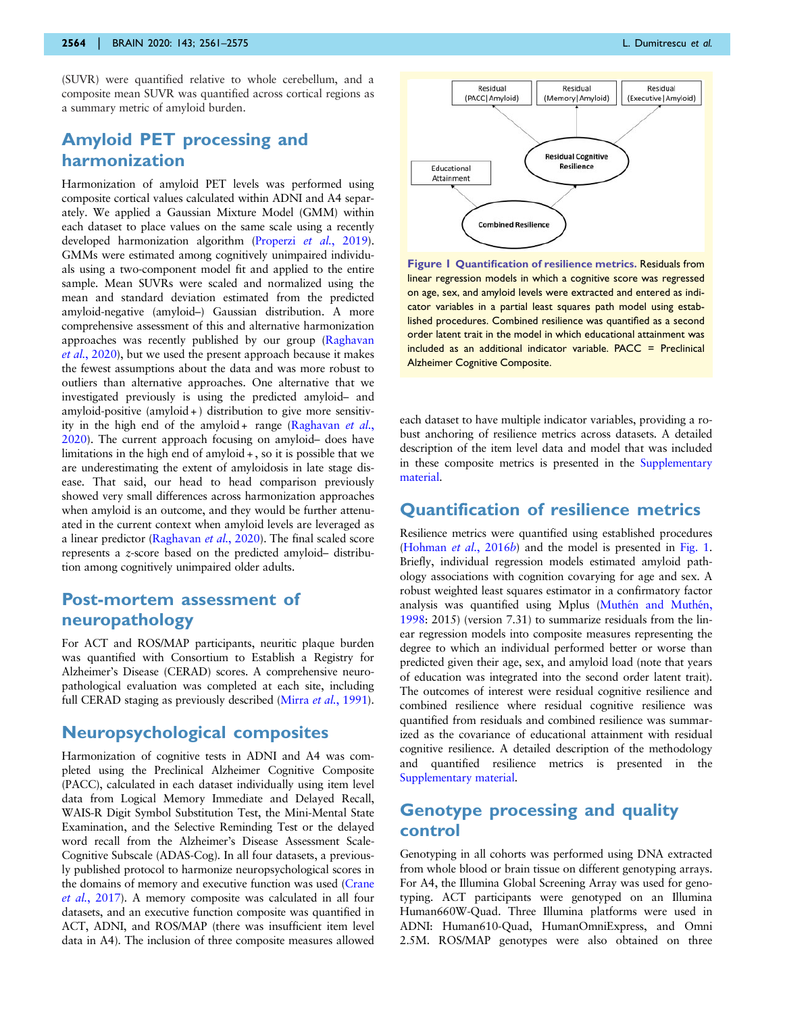(SUVR) were quantified relative to whole cerebellum, and a composite mean SUVR was quantified across cortical regions as a summary metric of amyloid burden.

### Amyloid PET processing and harmonization

Harmonization of amyloid PET levels was performed using composite cortical values calculated within ADNI and A4 separately. We applied a Gaussian Mixture Model (GMM) within each dataset to place values on the same scale using a recently developed harmonization algorithm [\(Properzi](#page-14-0) et al., 2019). GMMs were estimated among cognitively unimpaired individuals using a two-component model fit and applied to the entire sample. Mean SUVRs were scaled and normalized using the mean and standard deviation estimated from the predicted amyloid-negative (amyloid–) Gaussian distribution. A more comprehensive assessment of this and alternative harmonization approaches was recently published by our group [\(Raghavan](#page-14-0) et al.[, 2020\)](#page-14-0), but we used the present approach because it makes the fewest assumptions about the data and was more robust to outliers than alternative approaches. One alternative that we investigated previously is using the predicted amyloid– and amyloid-positive  $(amyloid +)$  distribution to give more sensitiv-ity in the high end of the amyloid + range [\(Raghavan](#page-14-0) et al., [2020\)](#page-14-0). The current approach focusing on amyloid– does have limitations in the high end of amyloid + , so it is possible that we are underestimating the extent of amyloidosis in late stage disease. That said, our head to head comparison previously showed very small differences across harmonization approaches when amyloid is an outcome, and they would be further attenuated in the current context when amyloid levels are leveraged as a linear predictor [\(Raghavan](#page-14-0) et al., 2020). The final scaled score represents a z-score based on the predicted amyloid– distribution among cognitively unimpaired older adults.

#### Post-mortem assessment of neuropathology

For ACT and ROS/MAP participants, neuritic plaque burden was quantified with Consortium to Establish a Registry for Alzheimer's Disease (CERAD) scores. A comprehensive neuropathological evaluation was completed at each site, including full CERAD staging as previously described (Mirra et al.[, 1991\)](#page-13-0).

#### Neuropsychological composites

Harmonization of cognitive tests in ADNI and A4 was completed using the Preclinical Alzheimer Cognitive Composite (PACC), calculated in each dataset individually using item level data from Logical Memory Immediate and Delayed Recall, WAIS-R Digit Symbol Substitution Test, the Mini-Mental State Examination, and the Selective Reminding Test or the delayed word recall from the Alzheimer's Disease Assessment Scale-Cognitive Subscale (ADAS-Cog). In all four datasets, a previously published protocol to harmonize neuropsychological scores in the domains of memory and executive function was used [\(Crane](#page-13-0) et al.[, 2017\)](#page-13-0). A memory composite was calculated in all four datasets, and an executive function composite was quantified in ACT, ADNI, and ROS/MAP (there was insufficient item level data in A4). The inclusion of three composite measures allowed



Figure 1 Quantification of resilience metrics. Residuals from linear regression models in which a cognitive score was regressed on age, sex, and amyloid levels were extracted and entered as indicator variables in a partial least squares path model using established procedures. Combined resilience was quantified as a second order latent trait in the model in which educational attainment was included as an additional indicator variable. PACC = Preclinical Alzheimer Cognitive Composite.

each dataset to have multiple indicator variables, providing a robust anchoring of resilience metrics across datasets. A detailed description of the item level data and model that was included in these composite metrics is presented in the [Supplementary](https://academic.oup.com/brain/article-lookup/doi/10.1093/brain/awaa209#supplementary-data) [material.](https://academic.oup.com/brain/article-lookup/doi/10.1093/brain/awaa209#supplementary-data)

#### Quantification of resilience metrics

Resilience metrics were quantified using established procedures ([Hohman](#page-13-0) *et al.*, 2016b) and the model is presented in Fig. 1. Briefly, individual regression models estimated amyloid pathology associations with cognition covarying for age and sex. A robust weighted least squares estimator in a confirmatory factor analysis was quantified using Mplus (Muthén and Muthén, [1998:](#page-14-0) 2015) (version 7.31) to summarize residuals from the linear regression models into composite measures representing the degree to which an individual performed better or worse than predicted given their age, sex, and amyloid load (note that years of education was integrated into the second order latent trait). The outcomes of interest were residual cognitive resilience and combined resilience where residual cognitive resilience was quantified from residuals and combined resilience was summarized as the covariance of educational attainment with residual cognitive resilience. A detailed description of the methodology and quantified resilience metrics is presented in the [Supplementary material.](https://academic.oup.com/brain/article-lookup/doi/10.1093/brain/awaa209#supplementary-data)

#### Genotype processing and quality control

Genotyping in all cohorts was performed using DNA extracted from whole blood or brain tissue on different genotyping arrays. For A4, the Illumina Global Screening Array was used for genotyping. ACT participants were genotyped on an Illumina Human660W-Quad. Three Illumina platforms were used in ADNI: Human610-Quad, HumanOmniExpress, and Omni 2.5M. ROS/MAP genotypes were also obtained on three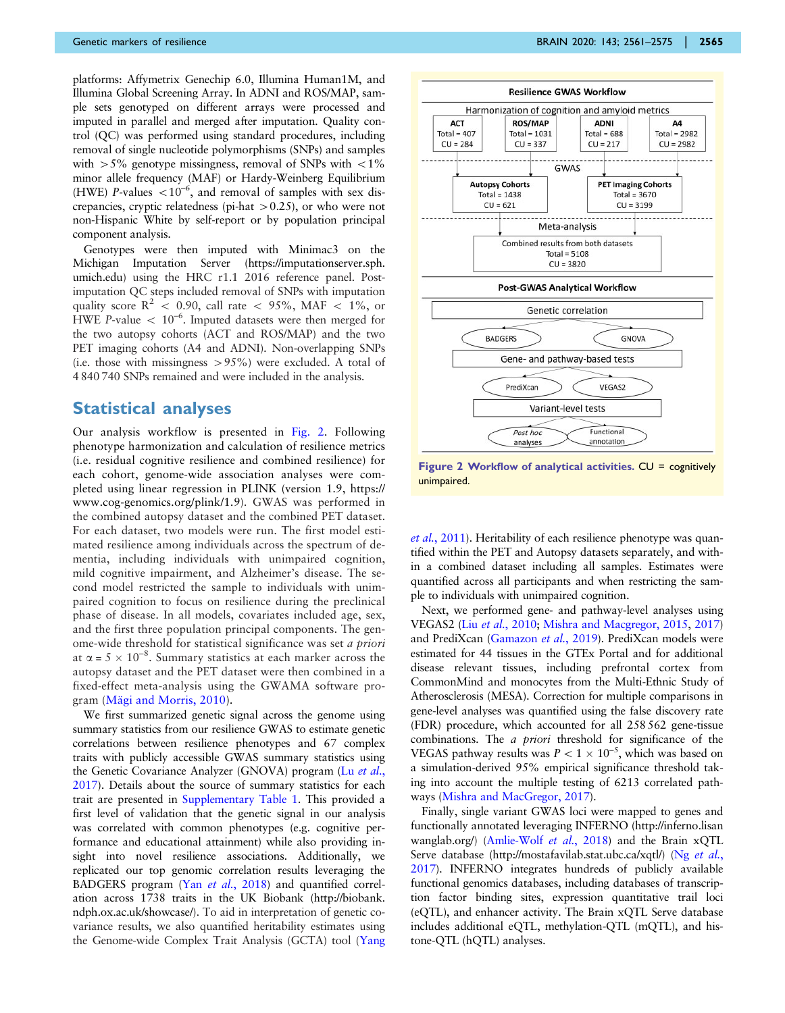platforms: Affymetrix Genechip 6.0, Illumina Human1M, and Illumina Global Screening Array. In ADNI and ROS/MAP, sample sets genotyped on different arrays were processed and imputed in parallel and merged after imputation. Quality control (QC) was performed using standard procedures, including removal of single nucleotide polymorphisms (SNPs) and samples with  $> 5\%$  genotype missingness, removal of SNPs with  $< 1\%$ minor allele frequency (MAF) or Hardy-Weinberg Equilibrium (HWE) P-values  $< 10^{-6}$ , and removal of samples with sex discrepancies, cryptic relatedness (pi-hat  $> 0.25$ ), or who were not non-Hispanic White by self-report or by population principal component analysis.

Genotypes were then imputed with Minimac3 on the Michigan Imputation Server ([https://imputationserver.sph.](https://imputationserver.sph.umich.edu) [umich.edu\)](https://imputationserver.sph.umich.edu) using the HRC r1.1 2016 reference panel. Postimputation QC steps included removal of SNPs with imputation quality score  $\mathrm{R}^2$  < 0.90, call rate < 95%, MAF < 1%, or HWE P-value  $< 10^{-6}$ . Imputed datasets were then merged for the two autopsy cohorts (ACT and ROS/MAP) and the two PET imaging cohorts (A4 and ADNI). Non-overlapping SNPs (i.e. those with missingness  $> 95\%$ ) were excluded. A total of 4 840 740 SNPs remained and were included in the analysis.

#### Statistical analyses

Our analysis workflow is presented in Fig. 2. Following phenotype harmonization and calculation of resilience metrics (i.e. residual cognitive resilience and combined resilience) for each cohort, genome-wide association analyses were completed using linear regression in PLINK (version 1.9, [https://](https://www.cog-genomics.org/plink/1.9) [www.cog-genomics.org/plink/1.9](https://www.cog-genomics.org/plink/1.9)). GWAS was performed in the combined autopsy dataset and the combined PET dataset. For each dataset, two models were run. The first model estimated resilience among individuals across the spectrum of dementia, including individuals with unimpaired cognition, mild cognitive impairment, and Alzheimer's disease. The second model restricted the sample to individuals with unimpaired cognition to focus on resilience during the preclinical phase of disease. In all models, covariates included age, sex, and the first three population principal components. The genome-wide threshold for statistical significance was set a priori at  $\alpha = 5 \times 10^{-8}$ . Summary statistics at each marker across the autopsy dataset and the PET dataset were then combined in a fixed-effect meta-analysis using the GWAMA software program (Mägi and Morris, 2010).

We first summarized genetic signal across the genome using summary statistics from our resilience GWAS to estimate genetic correlations between resilience phenotypes and 67 complex traits with publicly accessible GWAS summary statistics using the Genetic Covariance Analyzer (GNOVA) program (Lu [et al.](#page-13-0), [2017](#page-13-0)). Details about the source of summary statistics for each trait are presented in [Supplementary Table 1](https://academic.oup.com/brain/article-lookup/doi/10.1093/brain/awaa209#supplementary-data). This provided a first level of validation that the genetic signal in our analysis was correlated with common phenotypes (e.g. cognitive performance and educational attainment) while also providing insight into novel resilience associations. Additionally, we replicated our top genomic correlation results leveraging the BADGERS program (Yan *et al.*[, 2018](#page-14-0)) and quantified correlation across 1738 traits in the UK Biobank [\(http://biobank.](http://biobank.ndph.ox.ac.uk/showcase/) [ndph.ox.ac.uk/showcase/](http://biobank.ndph.ox.ac.uk/showcase/)). To aid in interpretation of genetic covariance results, we also quantified heritability estimates using the Genome-wide Complex Trait Analysis (GCTA) tool ([Yang](#page-14-0)



Figure 2 Workflow of analytical activities.  $CU =$  cognitively unimpaired.

et al.[, 2011](#page-14-0)). Heritability of each resilience phenotype was quantified within the PET and Autopsy datasets separately, and within a combined dataset including all samples. Estimates were quantified across all participants and when restricting the sample to individuals with unimpaired cognition.

Next, we performed gene- and pathway-level analyses using VEGAS2 (Liu et al.[, 2010;](#page-13-0) [Mishra and Macgregor, 2015,](#page-13-0) [2017\)](#page-13-0) and PrediXcan [\(Gamazon](#page-13-0) et al., 2019). PrediXcan models were estimated for 44 tissues in the GTEx Portal and for additional disease relevant tissues, including prefrontal cortex from CommonMind and monocytes from the Multi-Ethnic Study of Atherosclerosis (MESA). Correction for multiple comparisons in gene-level analyses was quantified using the false discovery rate (FDR) procedure, which accounted for all 258 562 gene-tissue combinations. The a priori threshold for significance of the VEGAS pathway results was  $P < 1 \times 10^{-5}$ , which was based on a simulation-derived 95% empirical significance threshold taking into account the multiple testing of 6213 correlated pathways [\(Mishra and MacGregor, 2017](#page-13-0)).

Finally, single variant GWAS loci were mapped to genes and functionally annotated leveraging INFERNO ([http://inferno.lisan](http://inferno.lisanwanglab.org/) [wanglab.org/\)](http://inferno.lisanwanglab.org/) ([Amlie-Wolf](#page-13-0) et al., 2018) and the Brain xQTL Serve database (<http://mostafavilab.stat.ubc.ca/xqtl/>) (Ng [et al.](#page-14-0), [2017](#page-14-0)). INFERNO integrates hundreds of publicly available functional genomics databases, including databases of transcription factor binding sites, expression quantitative trail loci (eQTL), and enhancer activity. The Brain xQTL Serve database includes additional eQTL, methylation-QTL (mQTL), and histone-QTL (hQTL) analyses.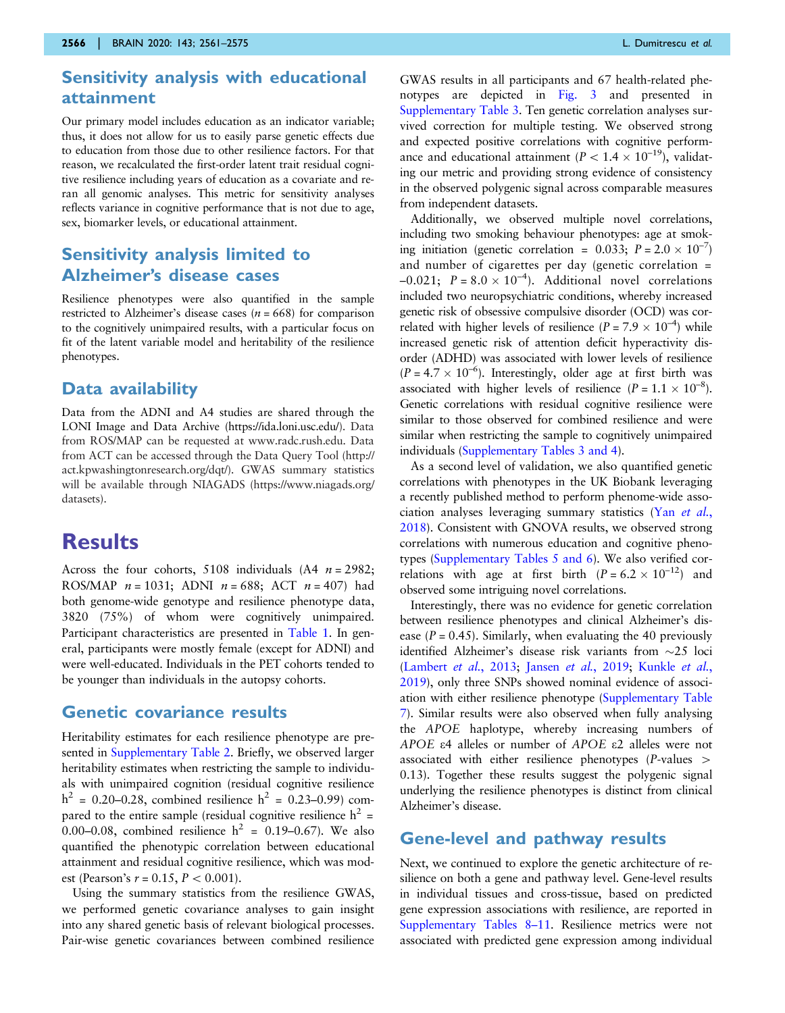#### Sensitivity analysis with educational attainment

Our primary model includes education as an indicator variable; thus, it does not allow for us to easily parse genetic effects due to education from those due to other resilience factors. For that reason, we recalculated the first-order latent trait residual cognitive resilience including years of education as a covariate and reran all genomic analyses. This metric for sensitivity analyses reflects variance in cognitive performance that is not due to age, sex, biomarker levels, or educational attainment.

### Sensitivity analysis limited to Alzheimer's disease cases

Resilience phenotypes were also quantified in the sample restricted to Alzheimer's disease cases ( $n = 668$ ) for comparison to the cognitively unimpaired results, with a particular focus on fit of the latent variable model and heritability of the resilience phenotypes.

#### Data availability

Data from the ADNI and A4 studies are shared through the LONI Image and Data Archive [\(https://ida.loni.usc.edu/](https://ida.loni.usc.edu/)). Data from ROS/MAP can be requested at [www.radc.rush.edu.](http://www.radc.rush.edu) Data from ACT can be accessed through the Data Query Tool ([http://](http://act.kpwashingtonresearch.org/dqt/) [act.kpwashingtonresearch.org/dqt/\)](http://act.kpwashingtonresearch.org/dqt/). GWAS summary statistics will be available through NIAGADS [\(https://www.niagads.org/](https://www.niagads.org/datasets) [datasets](https://www.niagads.org/datasets)).

## **Results**

Across the four cohorts, 5108 individuals (A4  $n = 2982$ ; ROS/MAP  $n = 1031$ ; ADNI  $n = 688$ ; ACT  $n = 407$ ) had both genome-wide genotype and resilience phenotype data, 3820 (75%) of whom were cognitively unimpaired. Participant characteristics are presented in [Table 1.](#page-6-0) In general, participants were mostly female (except for ADNI) and were well-educated. Individuals in the PET cohorts tended to be younger than individuals in the autopsy cohorts.

#### Genetic covariance results

Heritability estimates for each resilience phenotype are presented in [Supplementary Table 2.](https://academic.oup.com/brain/article-lookup/doi/10.1093/brain/awaa209#supplementary-data) Briefly, we observed larger heritability estimates when restricting the sample to individuals with unimpaired cognition (residual cognitive resilience  $h^2 = 0.20 - 0.28$ , combined resilience  $h^2 = 0.23 - 0.99$  compared to the entire sample (residual cognitive resilience  $h^2$  = 0.00–0.08, combined resilience  $h^2 = 0.19$ –0.67). We also quantified the phenotypic correlation between educational attainment and residual cognitive resilience, which was modest (Pearson's  $r = 0.15$ ,  $P < 0.001$ ).

Using the summary statistics from the resilience GWAS, we performed genetic covariance analyses to gain insight into any shared genetic basis of relevant biological processes. Pair-wise genetic covariances between combined resilience

GWAS results in all participants and 67 health-related phenotypes are depicted in [Fig. 3](#page-7-0) and presented in [Supplementary Table 3.](https://academic.oup.com/brain/article-lookup/doi/10.1093/brain/awaa209#supplementary-data) Ten genetic correlation analyses survived correction for multiple testing. We observed strong and expected positive correlations with cognitive performance and educational attainment ( $P < 1.4 \times 10^{-19}$ ), validating our metric and providing strong evidence of consistency in the observed polygenic signal across comparable measures from independent datasets.

Additionally, we observed multiple novel correlations, including two smoking behaviour phenotypes: age at smoking initiation (genetic correlation = 0.033;  $P = 2.0 \times 10^{-7}$ ) and number of cigarettes per day (genetic correlation =  $-0.021$ ;  $P = 8.0 \times 10^{-4}$ ). Additional novel correlations included two neuropsychiatric conditions, whereby increased genetic risk of obsessive compulsive disorder (OCD) was correlated with higher levels of resilience ( $P = 7.9 \times 10^{-4}$ ) while increased genetic risk of attention deficit hyperactivity disorder (ADHD) was associated with lower levels of resilience  $(P = 4.7 \times 10^{-6})$ . Interestingly, older age at first birth was associated with higher levels of resilience  $(P = 1.1 \times 10^{-8})$ . Genetic correlations with residual cognitive resilience were similar to those observed for combined resilience and were similar when restricting the sample to cognitively unimpaired individuals ([Supplementary Tables 3 and 4\)](https://academic.oup.com/brain/article-lookup/doi/10.1093/brain/awaa209#supplementary-data).

As a second level of validation, we also quantified genetic correlations with phenotypes in the UK Biobank leveraging a recently published method to perform phenome-wide association analyses leveraging summary statistics (Yan [et al.](#page-14-0), [2018\)](#page-14-0). Consistent with GNOVA results, we observed strong correlations with numerous education and cognitive phenotypes ([Supplementary Tables 5 and 6\)](https://academic.oup.com/brain/article-lookup/doi/10.1093/brain/awaa209#supplementary-data). We also verified correlations with age at first birth  $(P = 6.2 \times 10^{-12})$  and observed some intriguing novel correlations.

Interestingly, there was no evidence for genetic correlation between resilience phenotypes and clinical Alzheimer's disease ( $P = 0.45$ ). Similarly, when evaluating the 40 previously identified Alzheimer's disease risk variants from  $\sim$ 25 loci [\(Lambert](#page-13-0) et al., 2013; Jansen et al.[, 2019;](#page-13-0) [Kunkle](#page-13-0) et al., [2019\)](#page-13-0), only three SNPs showed nominal evidence of association with either resilience phenotype [\(Supplementary Table](https://academic.oup.com/brain/article-lookup/doi/10.1093/brain/awaa209#supplementary-data) [7](https://academic.oup.com/brain/article-lookup/doi/10.1093/brain/awaa209#supplementary-data)). Similar results were also observed when fully analysing the APOE haplotype, whereby increasing numbers of APOE  $\varepsilon$ 4 alleles or number of APOE  $\varepsilon$ 2 alleles were not associated with either resilience phenotypes  $(P$ -values  $>$ 0.13). Together these results suggest the polygenic signal underlying the resilience phenotypes is distinct from clinical Alzheimer's disease.

#### Gene-level and pathway results

Next, we continued to explore the genetic architecture of resilience on both a gene and pathway level. Gene-level results in individual tissues and cross-tissue, based on predicted gene expression associations with resilience, are reported in [Supplementary Tables 8–11.](https://academic.oup.com/brain/article-lookup/doi/10.1093/brain/awaa209#supplementary-data) Resilience metrics were not associated with predicted gene expression among individual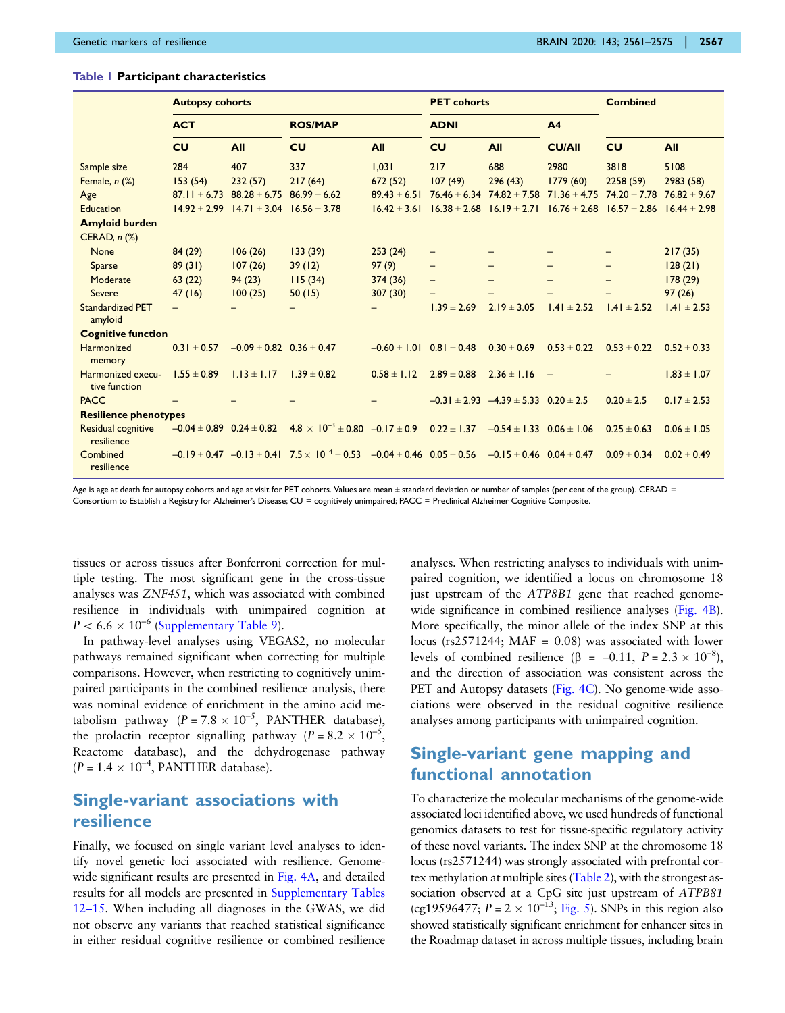#### <span id="page-6-0"></span>Table 1 Participant characteristics

|                                    | <b>Autopsy cohorts</b>           |                                                    |                                                                                                  | <b>PET</b> cohorts               |                   |                                                  | <b>Combined</b> |                                                    |                 |
|------------------------------------|----------------------------------|----------------------------------------------------|--------------------------------------------------------------------------------------------------|----------------------------------|-------------------|--------------------------------------------------|-----------------|----------------------------------------------------|-----------------|
|                                    | <b>ACT</b>                       |                                                    | <b>ROS/MAP</b>                                                                                   |                                  | <b>ADNI</b>       |                                                  | A <sub>4</sub>  |                                                    |                 |
|                                    | CU                               | All                                                | CU                                                                                               | All                              | CU                | All                                              | <b>CU/AII</b>   | CU                                                 | All             |
| Sample size                        | 284                              | 407                                                | 337                                                                                              | 1.031                            | 217               | 688                                              | 2980            | 3818                                               | 5108            |
| Female, $n$ $%$                    | 153(54)                          | 232(57)                                            | 217(64)                                                                                          | 672(52)                          | 107(49)           | 296(43)                                          | 1779(60)        | 2258(59)                                           | 2983(58)        |
| Age                                | $87.11 \pm 6.73$                 | $88.28 \pm 6.75$                                   | $86.99 \pm 6.62$                                                                                 | $89.43 \pm 6.51$                 | $76.46 \pm 6.34$  | $74.82 \pm 7.58$                                 |                 | $71.36 \pm 4.75$ $74.20 \pm 7.78$ $76.82 \pm 9.67$ |                 |
| Education                          |                                  | $14.92 \pm 2.99$ $14.71 \pm 3.04$ $16.56 \pm 3.78$ |                                                                                                  | $16.42 \pm 3.61$                 |                   | $16.38 \pm 2.68$ $16.19 \pm 2.71$                |                 | $16.76 \pm 2.68$ $16.57 \pm 2.86$ $16.44 \pm 2.98$ |                 |
| <b>Amyloid burden</b>              |                                  |                                                    |                                                                                                  |                                  |                   |                                                  |                 |                                                    |                 |
| CERAD, $n$ $%$                     |                                  |                                                    |                                                                                                  |                                  |                   |                                                  |                 |                                                    |                 |
| <b>None</b>                        | 84(29)                           | 106(26)                                            | 133(39)                                                                                          | 253(24)                          | $\qquad \qquad -$ |                                                  |                 |                                                    | 217(35)         |
| Sparse                             | 89(31)                           | 107(26)                                            | 39(12)                                                                                           | 97(9)                            | $\qquad \qquad -$ | -                                                |                 |                                                    | 128(21)         |
| Moderate                           | 63(22)                           | 94(23)                                             | 115(34)                                                                                          | 374 (36)                         | $\qquad \qquad -$ |                                                  |                 |                                                    | 178(29)         |
| Severe                             | 47(16)                           | 100(25)                                            | 50(15)                                                                                           | 307(30)                          | $\qquad \qquad -$ |                                                  |                 |                                                    | 97(26)          |
| <b>Standardized PET</b><br>amyloid |                                  |                                                    |                                                                                                  |                                  | $1.39 \pm 2.69$   | $2.19 \pm 3.05$                                  | $1.41 \pm 2.52$ | $1.41 \pm 2.52$                                    | $1.41 \pm 2.53$ |
| <b>Cognitive function</b>          |                                  |                                                    |                                                                                                  |                                  |                   |                                                  |                 |                                                    |                 |
| Harmonized<br>memory               | $0.31 \pm 0.57$                  | $-0.09 \pm 0.82$ 0.36 $\pm$ 0.47                   |                                                                                                  | $-0.60 \pm 1.01$ 0.81 $\pm$ 0.48 |                   | $0.30 \pm 0.69$                                  | $0.53 \pm 0.22$ | $0.53 \pm 0.22$                                    | $0.52 \pm 0.33$ |
| Harmonized execu-<br>tive function | $1.55 \pm 0.89$                  | $1.13 \pm 1.17$                                    | $1.39 \pm 0.82$                                                                                  | $0.58 \pm 1.12$                  | $2.89 \pm 0.88$   | $2.36 \pm 1.16$                                  |                 |                                                    | $1.83 \pm 1.07$ |
| <b>PACC</b>                        |                                  |                                                    |                                                                                                  |                                  |                   | $-0.31 \pm 2.93$ $-4.39 \pm 5.33$ $0.20 \pm 2.5$ |                 | $0.20 \pm 2.5$                                     | $0.17 \pm 2.53$ |
| <b>Resilience phenotypes</b>       |                                  |                                                    |                                                                                                  |                                  |                   |                                                  |                 |                                                    |                 |
| Residual cognitive<br>resilience   | $-0.04 \pm 0.89$ 0.24 $\pm$ 0.82 |                                                    | $4.8 \times 10^{-3} \pm 0.80 -0.17 \pm 0.9$                                                      |                                  | $0.22 \pm 1.37$   | $-0.54 \pm 1.33$ 0.06 $\pm$ 1.06                 |                 | $0.25 \pm 0.63$                                    | $0.06 \pm 1.05$ |
| Combined<br>resilience             |                                  |                                                    | $-0.19 \pm 0.47$ $-0.13 \pm 0.41$ $7.5 \times 10^{-4} \pm 0.53$ $-0.04 \pm 0.46$ $0.05 \pm 0.56$ |                                  |                   | $-0.15 \pm 0.46$ 0.04 $\pm$ 0.47                 |                 | $0.09 \pm 0.34$                                    | $0.02 \pm 0.49$ |

Age is age at death for autopsy cohorts and age at visit for PET cohorts. Values are mean ± standard deviation or number of samples (per cent of the group). CERAD = Consortium to Establish a Registry for Alzheimer's Disease; CU = cognitively unimpaired; PACC = Preclinical Alzheimer Cognitive Composite.

tissues or across tissues after Bonferroni correction for multiple testing. The most significant gene in the cross-tissue analyses was ZNF451, which was associated with combined resilience in individuals with unimpaired cognition at  $P < 6.6 \times 10^{-6}$  ([Supplementary Table 9](https://academic.oup.com/brain/article-lookup/doi/10.1093/brain/awaa209#supplementary-data)).

In pathway-level analyses using VEGAS2, no molecular pathways remained significant when correcting for multiple comparisons. However, when restricting to cognitively unimpaired participants in the combined resilience analysis, there was nominal evidence of enrichment in the amino acid metabolism pathway ( $P = 7.8 \times 10^{-5}$ , PANTHER database), the prolactin receptor signalling pathway ( $P = 8.2 \times 10^{-5}$ , Reactome database), and the dehydrogenase pathway  $(P = 1.4 \times 10^{-4}, PANTHER database).$ 

### Single-variant associations with resilience

Finally, we focused on single variant level analyses to identify novel genetic loci associated with resilience. Genomewide significant results are presented in [Fig. 4A](#page-8-0), and detailed results for all models are presented in [Supplementary Tables](https://academic.oup.com/brain/article-lookup/doi/10.1093/brain/awaa209#supplementary-data) [12–15.](https://academic.oup.com/brain/article-lookup/doi/10.1093/brain/awaa209#supplementary-data) When including all diagnoses in the GWAS, we did not observe any variants that reached statistical significance in either residual cognitive resilience or combined resilience analyses. When restricting analyses to individuals with unimpaired cognition, we identified a locus on chromosome 18 just upstream of the ATP8B1 gene that reached genomewide significance in combined resilience analyses [\(Fig. 4B\)](#page-8-0). More specifically, the minor allele of the index SNP at this locus (rs2571244; MAF = 0.08) was associated with lower levels of combined resilience ( $\beta$  = -0.11,  $P = 2.3 \times 10^{-8}$ ), and the direction of association was consistent across the PET and Autopsy datasets ([Fig. 4C\)](#page-8-0). No genome-wide associations were observed in the residual cognitive resilience analyses among participants with unimpaired cognition.

### Single-variant gene mapping and functional annotation

To characterize the molecular mechanisms of the genome-wide associated loci identified above, we used hundreds of functional genomics datasets to test for tissue-specific regulatory activity of these novel variants. The index SNP at the chromosome 18 locus (rs2571244) was strongly associated with prefrontal cortex methylation at multiple sites (Table 2), with the strongest association observed at a CpG site just upstream of ATPB81 (cg19596477;  $P = 2 \times 10^{-13}$ ; [Fig. 5\)](#page-9-0). SNPs in this region also showed statistically significant enrichment for enhancer sites in the Roadmap dataset in across multiple tissues, including brain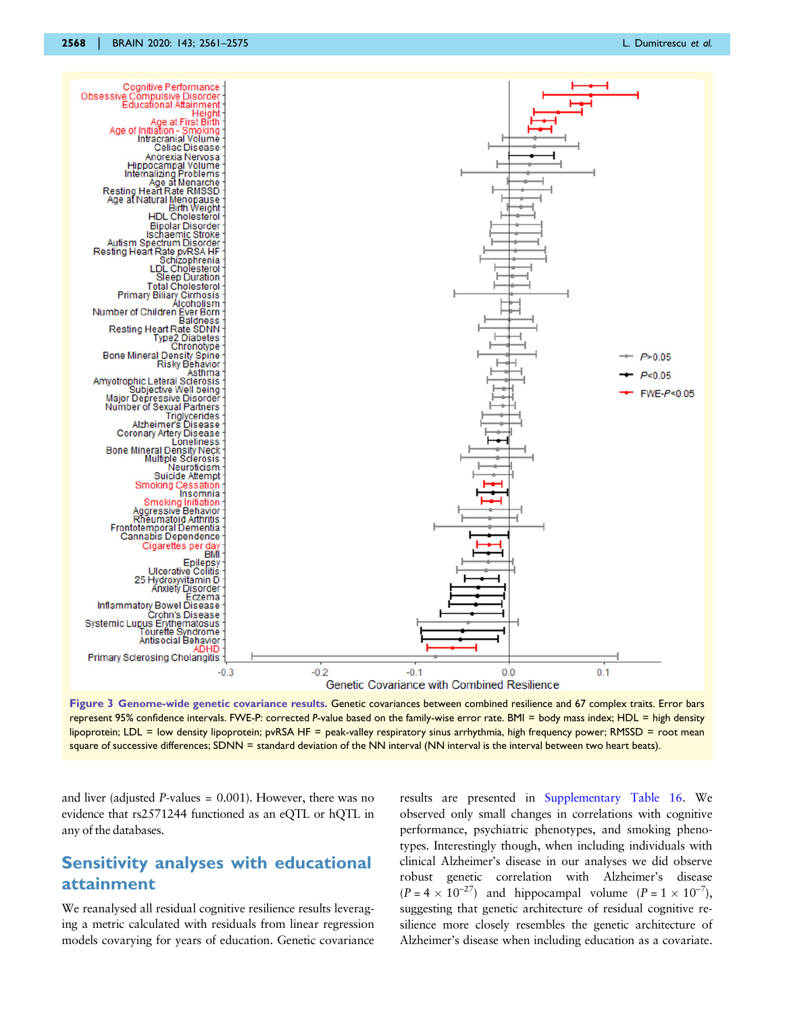<span id="page-7-0"></span>

Figure 3 Genome-wide genetic covariance results. Genetic covariances between combined resilience and 67 complex traits. Error bars represent 95% confidence intervals. FWE-P: corrected P-value based on the family-wise error rate. BMI = body mass index; HDL = high density lipoprotein; LDL = low density lipoprotein; pvRSA HF = peak-valley respiratory sinus arrhythmia, high frequency power; RMSSD = root mean square of successive differences; SDNN = standard deviation of the NN interval (NN interval is the interval between two heart beats).

and liver (adjusted  $P$ -values = 0.001). However, there was no evidence that rs2571244 functioned as an eQTL or hQTL in any of the databases.

### Sensitivity analyses with educational attainment

We reanalysed all residual cognitive resilience results leveraging a metric calculated with residuals from linear regression models covarying for years of education. Genetic covariance results are presented in [Supplementary Table 16](https://academic.oup.com/brain/article-lookup/doi/10.1093/brain/awaa209#supplementary-data). We observed only small changes in correlations with cognitive performance, psychiatric phenotypes, and smoking phenotypes. Interestingly though, when including individuals with clinical Alzheimer's disease in our analyses we did observe robust genetic correlation with Alzheimer's disease  $(P = 4 \times 10^{-27})$  and hippocampal volume  $(P = 1 \times 10^{-7})$ , suggesting that genetic architecture of residual cognitive resilience more closely resembles the genetic architecture of Alzheimer's disease when including education as a covariate.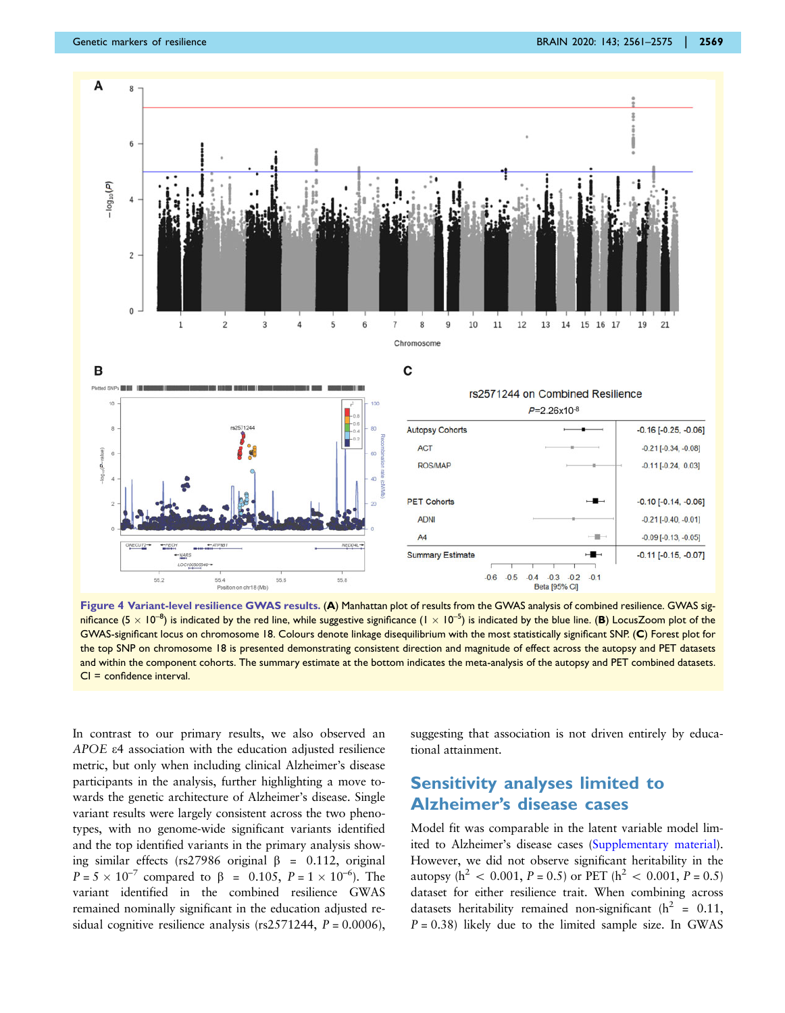<span id="page-8-0"></span>

Figure 4 Variant-level resilience GWAS results. (A) Manhattan plot of results from the GWAS analysis of combined resilience. GWAS significance (5  $\times$  10<sup>-8</sup>) is indicated by the red line, while suggestive significance (1  $\times$  10<sup>-5</sup>) is indicated by the blue line. (**B**) LocusZoom plot of the GWAS-significant locus on chromosome 18. Colours denote linkage disequilibrium with the most statistically significant SNP. (C) Forest plot for the top SNP on chromosome 18 is presented demonstrating consistent direction and magnitude of effect across the autopsy and PET datasets and within the component cohorts. The summary estimate at the bottom indicates the meta-analysis of the autopsy and PET combined datasets. CI = confidence interval.

In contrast to our primary results, we also observed an APOE e4 association with the education adjusted resilience metric, but only when including clinical Alzheimer's disease participants in the analysis, further highlighting a move towards the genetic architecture of Alzheimer's disease. Single variant results were largely consistent across the two phenotypes, with no genome-wide significant variants identified and the top identified variants in the primary analysis showing similar effects (rs27986 original  $\beta$  = 0.112, original  $P = 5 \times 10^{-7}$  compared to  $\beta = 0.105$ ,  $P = 1 \times 10^{-6}$ ). The variant identified in the combined resilience GWAS remained nominally significant in the education adjusted residual cognitive resilience analysis ( $rs2571244$ ,  $P = 0.0006$ ), suggesting that association is not driven entirely by educational attainment.

### Sensitivity analyses limited to Alzheimer's disease cases

Model fit was comparable in the latent variable model limited to Alzheimer's disease cases [\(Supplementary material\)](https://academic.oup.com/brain/article-lookup/doi/10.1093/brain/awaa209#supplementary-data). However, we did not observe significant heritability in the autopsy (h<sup>2</sup> < 0.001, P = 0.5) or PET (h<sup>2</sup> < 0.001, P = 0.5) dataset for either resilience trait. When combining across datasets heritability remained non-significant ( $h^2 = 0.11$ ,  $P = 0.38$ ) likely due to the limited sample size. In GWAS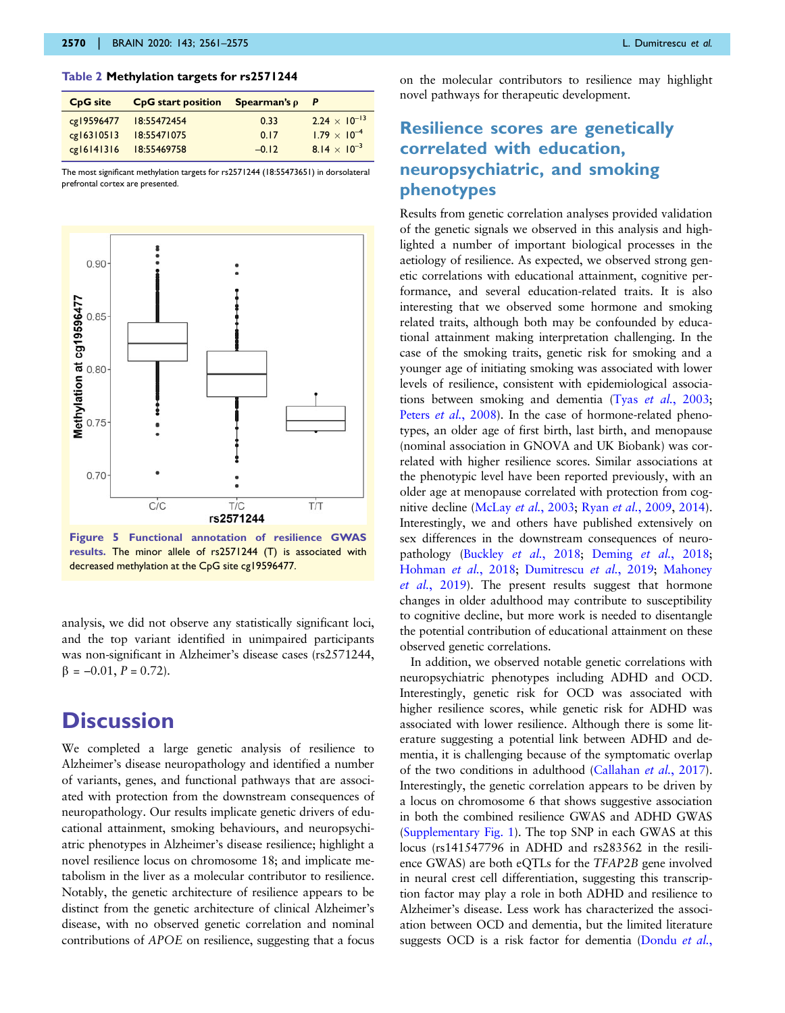#### <span id="page-9-0"></span>Table 2 Methylation targets for rs2571244

| <b>CpG site</b> | CpG start position Spearman's $\rho$ |         |                                |
|-----------------|--------------------------------------|---------|--------------------------------|
|                 | cg19596477 18:55472454               | 0.33    | $2.24 \times 10^{-13}$         |
| cg16310513      | 8:55471075                           | 0.17    | $1.79 \times 10^{-4}$          |
|                 | cg16141316 18:55469758               | $-0.12$ | 8.14 $\times$ 10 <sup>-3</sup> |

The most significant methylation targets for rs2571244 (18:55473651) in dorsolateral prefrontal cortex are presented.



Figure 5 Functional annotation of resilience GWAS results. The minor allele of rs2571244 (T) is associated with decreased methylation at the CpG site cg19596477.

analysis, we did not observe any statistically significant loci, and the top variant identified in unimpaired participants was non-significant in Alzheimer's disease cases (rs2571244,  $\beta = -0.01$ ,  $P = 0.72$ ).

# **Discussion**

We completed a large genetic analysis of resilience to Alzheimer's disease neuropathology and identified a number of variants, genes, and functional pathways that are associated with protection from the downstream consequences of neuropathology. Our results implicate genetic drivers of educational attainment, smoking behaviours, and neuropsychiatric phenotypes in Alzheimer's disease resilience; highlight a novel resilience locus on chromosome 18; and implicate metabolism in the liver as a molecular contributor to resilience. Notably, the genetic architecture of resilience appears to be distinct from the genetic architecture of clinical Alzheimer's disease, with no observed genetic correlation and nominal contributions of APOE on resilience, suggesting that a focus on the molecular contributors to resilience may highlight novel pathways for therapeutic development.

### Resilience scores are genetically correlated with education, neuropsychiatric, and smoking phenotypes

Results from genetic correlation analyses provided validation of the genetic signals we observed in this analysis and highlighted a number of important biological processes in the aetiology of resilience. As expected, we observed strong genetic correlations with educational attainment, cognitive performance, and several education-related traits. It is also interesting that we observed some hormone and smoking related traits, although both may be confounded by educational attainment making interpretation challenging. In the case of the smoking traits, genetic risk for smoking and a younger age of initiating smoking was associated with lower levels of resilience, consistent with epidemiological associa-tions between smoking and dementia (Tyas et al.[, 2003](#page-14-0); Peters *et al.*[, 2008](#page-14-0)). In the case of hormone-related phenotypes, an older age of first birth, last birth, and menopause (nominal association in GNOVA and UK Biobank) was correlated with higher resilience scores. Similar associations at the phenotypic level have been reported previously, with an older age at menopause correlated with protection from cog-nitive decline ([McLay](#page-14-0) et al., 2003; Ryan et al.[, 2009](#page-14-0), [2014](#page-14-0)). Interestingly, we and others have published extensively on sex differences in the downstream consequences of neuro-pathology ([Buckley](#page-13-0) et al., 2018; [Deming](#page-13-0) et al., 2018; [Hohman](#page-13-0) et al., 2018; [Dumitrescu](#page-13-0) et al., 2019; [Mahoney](#page-13-0) et al.[, 2019](#page-13-0)). The present results suggest that hormone changes in older adulthood may contribute to susceptibility to cognitive decline, but more work is needed to disentangle the potential contribution of educational attainment on these observed genetic correlations.

In addition, we observed notable genetic correlations with neuropsychiatric phenotypes including ADHD and OCD. Interestingly, genetic risk for OCD was associated with higher resilience scores, while genetic risk for ADHD was associated with lower resilience. Although there is some literature suggesting a potential link between ADHD and dementia, it is challenging because of the symptomatic overlap of the two conditions in adulthood [\(Callahan](#page-13-0) et al., 2017). Interestingly, the genetic correlation appears to be driven by a locus on chromosome 6 that shows suggestive association in both the combined resilience GWAS and ADHD GWAS [\(Supplementary Fig. 1](https://academic.oup.com/brain/article-lookup/doi/10.1093/brain/awaa209#supplementary-data)). The top SNP in each GWAS at this locus (rs141547796 in ADHD and rs283562 in the resilience GWAS) are both eQTLs for the TFAP2B gene involved in neural crest cell differentiation, suggesting this transcription factor may play a role in both ADHD and resilience to Alzheimer's disease. Less work has characterized the association between OCD and dementia, but the limited literature suggests OCD is a risk factor for dementia [\(Dondu](#page-13-0) et al.,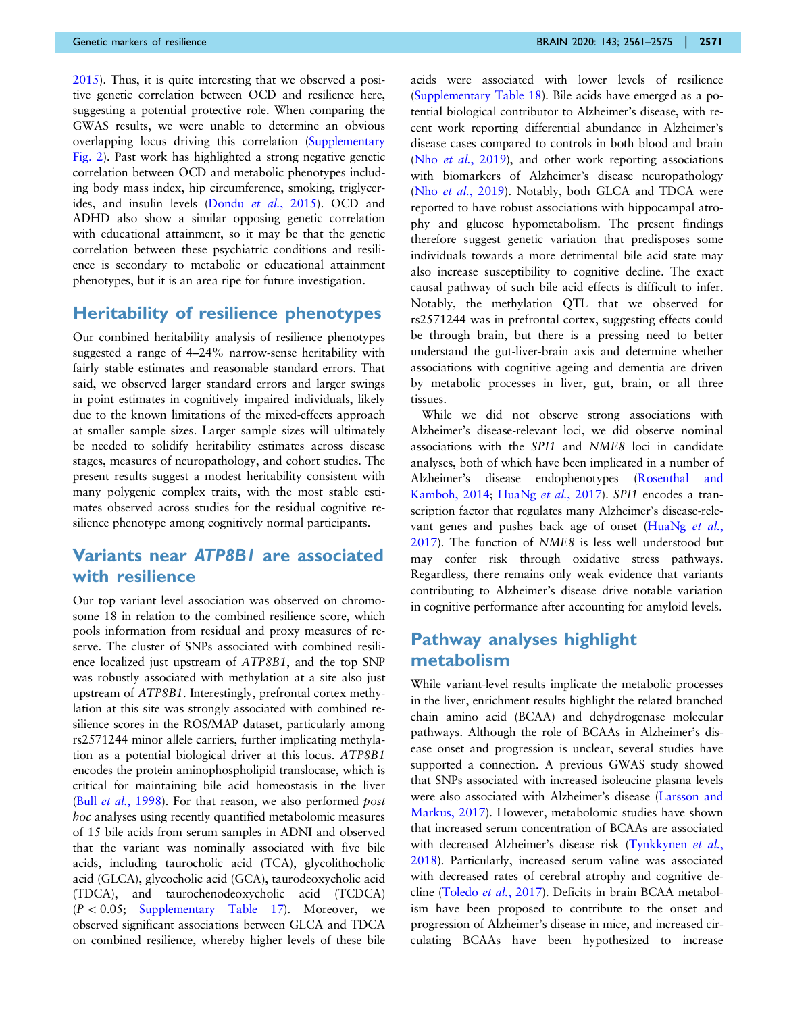[2015](#page-13-0)). Thus, it is quite interesting that we observed a positive genetic correlation between OCD and resilience here, suggesting a potential protective role. When comparing the GWAS results, we were unable to determine an obvious overlapping locus driving this correlation [\(Supplementary](https://academic.oup.com/brain/article-lookup/doi/10.1093/brain/awaa209#supplementary-data) [Fig. 2](https://academic.oup.com/brain/article-lookup/doi/10.1093/brain/awaa209#supplementary-data)). Past work has highlighted a strong negative genetic correlation between OCD and metabolic phenotypes including body mass index, hip circumference, smoking, triglycerides, and insulin levels (Dondu et al.[, 2015](#page-13-0)). OCD and ADHD also show a similar opposing genetic correlation with educational attainment, so it may be that the genetic correlation between these psychiatric conditions and resilience is secondary to metabolic or educational attainment phenotypes, but it is an area ripe for future investigation.

#### Heritability of resilience phenotypes

Our combined heritability analysis of resilience phenotypes suggested a range of 4–24% narrow-sense heritability with fairly stable estimates and reasonable standard errors. That said, we observed larger standard errors and larger swings in point estimates in cognitively impaired individuals, likely due to the known limitations of the mixed-effects approach at smaller sample sizes. Larger sample sizes will ultimately be needed to solidify heritability estimates across disease stages, measures of neuropathology, and cohort studies. The present results suggest a modest heritability consistent with many polygenic complex traits, with the most stable estimates observed across studies for the residual cognitive resilience phenotype among cognitively normal participants.

#### Variants near ATP8B1 are associated with resilience

Our top variant level association was observed on chromosome 18 in relation to the combined resilience score, which pools information from residual and proxy measures of reserve. The cluster of SNPs associated with combined resilience localized just upstream of ATP8B1, and the top SNP was robustly associated with methylation at a site also just upstream of ATP8B1. Interestingly, prefrontal cortex methylation at this site was strongly associated with combined resilience scores in the ROS/MAP dataset, particularly among rs2571244 minor allele carriers, further implicating methylation as a potential biological driver at this locus. ATP8B1 encodes the protein aminophospholipid translocase, which is critical for maintaining bile acid homeostasis in the liver (Bull *et al.*[, 1998](#page-13-0)). For that reason, we also performed *post* hoc analyses using recently quantified metabolomic measures of 15 bile acids from serum samples in ADNI and observed that the variant was nominally associated with five bile acids, including taurocholic acid (TCA), glycolithocholic acid (GLCA), glycocholic acid (GCA), taurodeoxycholic acid (TDCA), and taurochenodeoxycholic acid (TCDCA)  $(P < 0.05;$  [Supplementary Table 17](https://academic.oup.com/brain/article-lookup/doi/10.1093/brain/awaa209#supplementary-data)). Moreover, we observed significant associations between GLCA and TDCA on combined resilience, whereby higher levels of these bile acids were associated with lower levels of resilience ([Supplementary Table 18\)](https://academic.oup.com/brain/article-lookup/doi/10.1093/brain/awaa209#supplementary-data). Bile acids have emerged as a potential biological contributor to Alzheimer's disease, with recent work reporting differential abundance in Alzheimer's disease cases compared to controls in both blood and brain (Nho et al.[, 2019\)](#page-14-0), and other work reporting associations with biomarkers of Alzheimer's disease neuropathology (Nho et al.[, 2019\)](#page-14-0). Notably, both GLCA and TDCA were reported to have robust associations with hippocampal atrophy and glucose hypometabolism. The present findings therefore suggest genetic variation that predisposes some individuals towards a more detrimental bile acid state may also increase susceptibility to cognitive decline. The exact causal pathway of such bile acid effects is difficult to infer. Notably, the methylation QTL that we observed for rs2571244 was in prefrontal cortex, suggesting effects could be through brain, but there is a pressing need to better understand the gut-liver-brain axis and determine whether associations with cognitive ageing and dementia are driven by metabolic processes in liver, gut, brain, or all three tissues.

While we did not observe strong associations with Alzheimer's disease-relevant loci, we did observe nominal associations with the SPI1 and NME8 loci in candidate analyses, both of which have been implicated in a number of Alzheimer's disease endophenotypes ([Rosenthal and](#page-14-0) [Kamboh, 2014](#page-14-0); [HuaNg](#page-13-0) et al., 2017). SPI1 encodes a transcription factor that regulates many Alzheimer's disease-rele-vant genes and pushes back age of onset [\(HuaNg](#page-13-0) et al., [2017](#page-13-0)). The function of NME8 is less well understood but may confer risk through oxidative stress pathways. Regardless, there remains only weak evidence that variants contributing to Alzheimer's disease drive notable variation in cognitive performance after accounting for amyloid levels.

### Pathway analyses highlight metabolism

While variant-level results implicate the metabolic processes in the liver, enrichment results highlight the related branched chain amino acid (BCAA) and dehydrogenase molecular pathways. Although the role of BCAAs in Alzheimer's disease onset and progression is unclear, several studies have supported a connection. A previous GWAS study showed that SNPs associated with increased isoleucine plasma levels were also associated with Alzheimer's disease [\(Larsson and](#page-13-0) [Markus, 2017\)](#page-13-0). However, metabolomic studies have shown that increased serum concentration of BCAAs are associated with decreased Alzheimer's disease risk [\(Tynkkynen](#page-14-0) et al., [2018](#page-14-0)). Particularly, increased serum valine was associated with decreased rates of cerebral atrophy and cognitive de-cline [\(Toledo](#page-14-0) et al., 2017). Deficits in brain BCAA metabolism have been proposed to contribute to the onset and progression of Alzheimer's disease in mice, and increased circulating BCAAs have been hypothesized to increase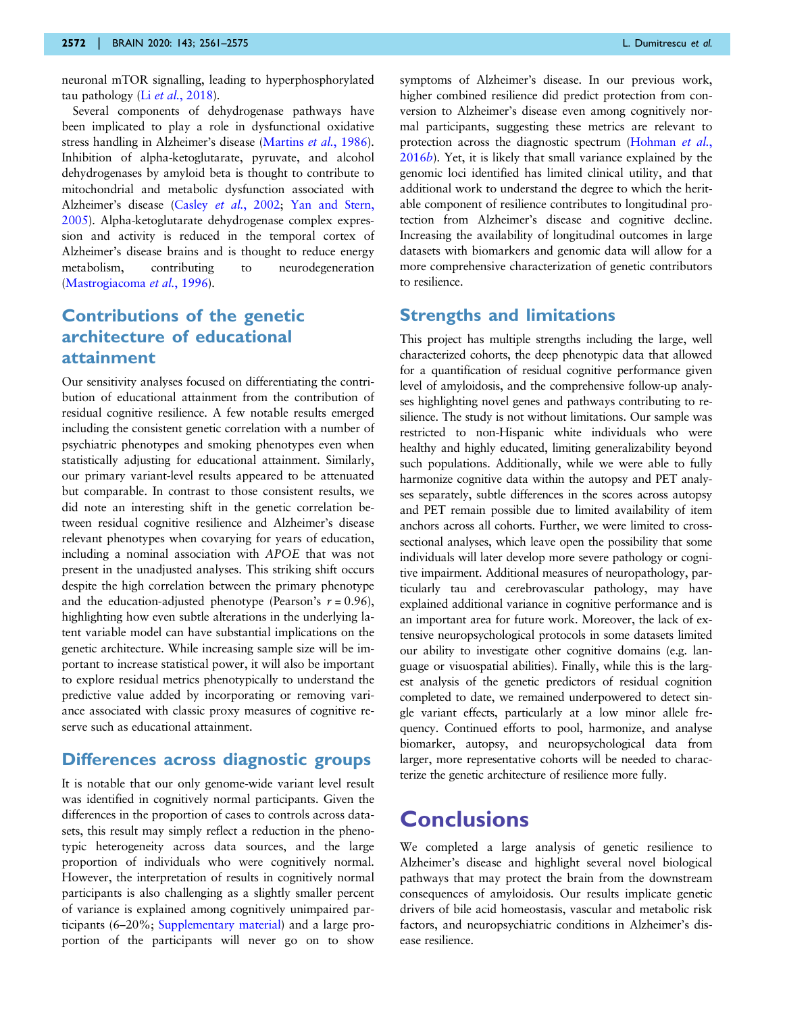neuronal mTOR signalling, leading to hyperphosphorylated tau pathology (Li et al.[, 2018](#page-13-0)).

Several components of dehydrogenase pathways have been implicated to play a role in dysfunctional oxidative stress handling in Alzheimer's disease [\(Martins](#page-13-0) et al., 1986). Inhibition of alpha-ketoglutarate, pyruvate, and alcohol dehydrogenases by amyloid beta is thought to contribute to mitochondrial and metabolic dysfunction associated with Alzheimer's disease (Casley et al.[, 2002;](#page-13-0) [Yan and Stern,](#page-14-0) [2005\)](#page-14-0). Alpha-ketoglutarate dehydrogenase complex expression and activity is reduced in the temporal cortex of Alzheimer's disease brains and is thought to reduce energy metabolism, contributing to neurodegeneration [\(Mastrogiacoma](#page-13-0) et al., 1996).

### Contributions of the genetic architecture of educational attainment

Our sensitivity analyses focused on differentiating the contribution of educational attainment from the contribution of residual cognitive resilience. A few notable results emerged including the consistent genetic correlation with a number of psychiatric phenotypes and smoking phenotypes even when statistically adjusting for educational attainment. Similarly, our primary variant-level results appeared to be attenuated but comparable. In contrast to those consistent results, we did note an interesting shift in the genetic correlation between residual cognitive resilience and Alzheimer's disease relevant phenotypes when covarying for years of education, including a nominal association with APOE that was not present in the unadjusted analyses. This striking shift occurs despite the high correlation between the primary phenotype and the education-adjusted phenotype (Pearson's  $r = 0.96$ ), highlighting how even subtle alterations in the underlying latent variable model can have substantial implications on the genetic architecture. While increasing sample size will be important to increase statistical power, it will also be important to explore residual metrics phenotypically to understand the predictive value added by incorporating or removing variance associated with classic proxy measures of cognitive reserve such as educational attainment.

#### Differences across diagnostic groups

It is notable that our only genome-wide variant level result was identified in cognitively normal participants. Given the differences in the proportion of cases to controls across datasets, this result may simply reflect a reduction in the phenotypic heterogeneity across data sources, and the large proportion of individuals who were cognitively normal. However, the interpretation of results in cognitively normal participants is also challenging as a slightly smaller percent of variance is explained among cognitively unimpaired participants (6–20%; [Supplementary material](https://academic.oup.com/brain/article-lookup/doi/10.1093/brain/awaa209#supplementary-data)) and a large proportion of the participants will never go on to show

symptoms of Alzheimer's disease. In our previous work, higher combined resilience did predict protection from conversion to Alzheimer's disease even among cognitively normal participants, suggesting these metrics are relevant to protection across the diagnostic spectrum [\(Hohman](#page-13-0) et al., [2016](#page-13-0)b). Yet, it is likely that small variance explained by the genomic loci identified has limited clinical utility, and that additional work to understand the degree to which the heritable component of resilience contributes to longitudinal protection from Alzheimer's disease and cognitive decline. Increasing the availability of longitudinal outcomes in large datasets with biomarkers and genomic data will allow for a more comprehensive characterization of genetic contributors to resilience.

#### Strengths and limitations

This project has multiple strengths including the large, well characterized cohorts, the deep phenotypic data that allowed for a quantification of residual cognitive performance given level of amyloidosis, and the comprehensive follow-up analyses highlighting novel genes and pathways contributing to resilience. The study is not without limitations. Our sample was restricted to non-Hispanic white individuals who were healthy and highly educated, limiting generalizability beyond such populations. Additionally, while we were able to fully harmonize cognitive data within the autopsy and PET analyses separately, subtle differences in the scores across autopsy and PET remain possible due to limited availability of item anchors across all cohorts. Further, we were limited to crosssectional analyses, which leave open the possibility that some individuals will later develop more severe pathology or cognitive impairment. Additional measures of neuropathology, particularly tau and cerebrovascular pathology, may have explained additional variance in cognitive performance and is an important area for future work. Moreover, the lack of extensive neuropsychological protocols in some datasets limited our ability to investigate other cognitive domains (e.g. language or visuospatial abilities). Finally, while this is the largest analysis of the genetic predictors of residual cognition completed to date, we remained underpowered to detect single variant effects, particularly at a low minor allele frequency. Continued efforts to pool, harmonize, and analyse biomarker, autopsy, and neuropsychological data from larger, more representative cohorts will be needed to characterize the genetic architecture of resilience more fully.

# **Conclusions**

We completed a large analysis of genetic resilience to Alzheimer's disease and highlight several novel biological pathways that may protect the brain from the downstream consequences of amyloidosis. Our results implicate genetic drivers of bile acid homeostasis, vascular and metabolic risk factors, and neuropsychiatric conditions in Alzheimer's disease resilience.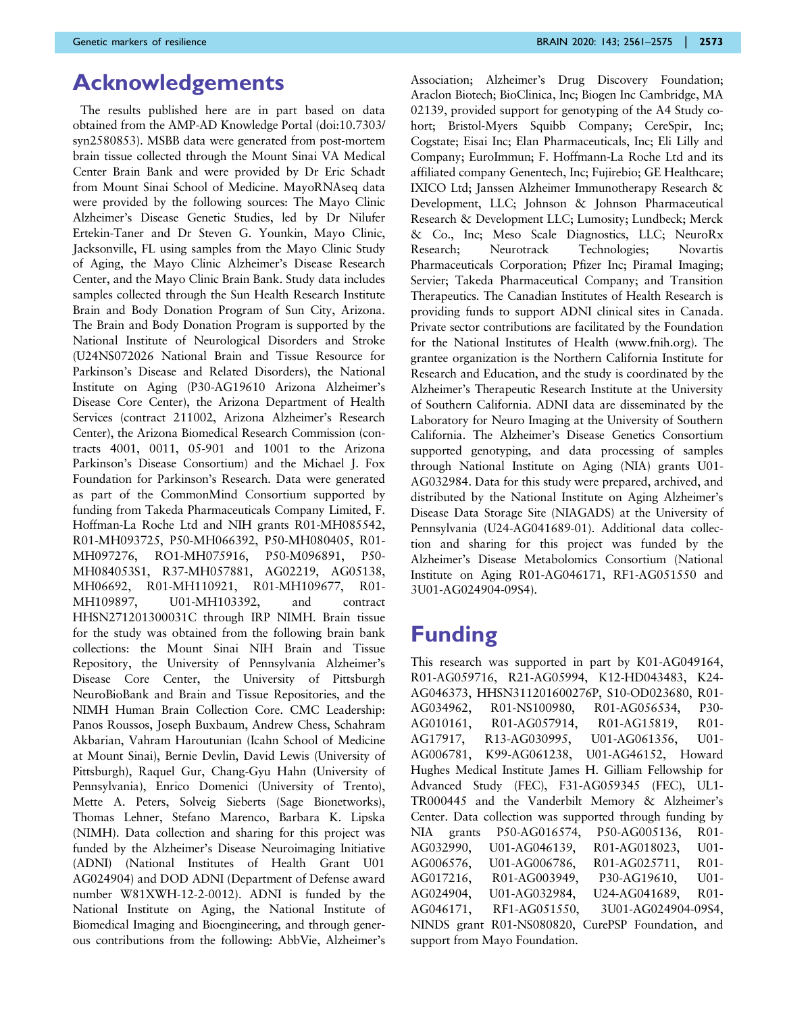# Acknowledgements

The results published here are in part based on data obtained from the AMP-AD Knowledge Portal (doi:10.7303/ syn2580853). MSBB data were generated from post-mortem brain tissue collected through the Mount Sinai VA Medical Center Brain Bank and were provided by Dr Eric Schadt from Mount Sinai School of Medicine. MayoRNAseq data were provided by the following sources: The Mayo Clinic Alzheimer's Disease Genetic Studies, led by Dr Nilufer Ertekin-Taner and Dr Steven G. Younkin, Mayo Clinic, Jacksonville, FL using samples from the Mayo Clinic Study of Aging, the Mayo Clinic Alzheimer's Disease Research Center, and the Mayo Clinic Brain Bank. Study data includes samples collected through the Sun Health Research Institute Brain and Body Donation Program of Sun City, Arizona. The Brain and Body Donation Program is supported by the National Institute of Neurological Disorders and Stroke (U24NS072026 National Brain and Tissue Resource for Parkinson's Disease and Related Disorders), the National Institute on Aging (P30-AG19610 Arizona Alzheimer's Disease Core Center), the Arizona Department of Health Services (contract 211002, Arizona Alzheimer's Research Center), the Arizona Biomedical Research Commission (contracts 4001, 0011, 05-901 and 1001 to the Arizona Parkinson's Disease Consortium) and the Michael J. Fox Foundation for Parkinson's Research. Data were generated as part of the CommonMind Consortium supported by funding from Takeda Pharmaceuticals Company Limited, F. Hoffman-La Roche Ltd and NIH grants R01-MH085542, R01-MH093725, P50-MH066392, P50-MH080405, R01- MH097276, RO1-MH075916, P50-M096891, P50- MH084053S1, R37-MH057881, AG02219, AG05138, MH06692, R01-MH110921, R01-MH109677, R01- MH109897, U01-MH103392, and contract HHSN271201300031C through IRP NIMH. Brain tissue for the study was obtained from the following brain bank collections: the Mount Sinai NIH Brain and Tissue Repository, the University of Pennsylvania Alzheimer's Disease Core Center, the University of Pittsburgh NeuroBioBank and Brain and Tissue Repositories, and the NIMH Human Brain Collection Core. CMC Leadership: Panos Roussos, Joseph Buxbaum, Andrew Chess, Schahram Akbarian, Vahram Haroutunian (Icahn School of Medicine at Mount Sinai), Bernie Devlin, David Lewis (University of Pittsburgh), Raquel Gur, Chang-Gyu Hahn (University of Pennsylvania), Enrico Domenici (University of Trento), Mette A. Peters, Solveig Sieberts (Sage Bionetworks), Thomas Lehner, Stefano Marenco, Barbara K. Lipska (NIMH). Data collection and sharing for this project was funded by the Alzheimer's Disease Neuroimaging Initiative (ADNI) (National Institutes of Health Grant U01 AG024904) and DOD ADNI (Department of Defense award number W81XWH-12-2-0012). ADNI is funded by the National Institute on Aging, the National Institute of Biomedical Imaging and Bioengineering, and through generous contributions from the following: AbbVie, Alzheimer's Association; Alzheimer's Drug Discovery Foundation; Araclon Biotech; BioClinica, Inc; Biogen Inc Cambridge, MA 02139, provided support for genotyping of the A4 Study cohort; Bristol-Myers Squibb Company; CereSpir, Inc; Cogstate; Eisai Inc; Elan Pharmaceuticals, Inc; Eli Lilly and Company; EuroImmun; F. Hoffmann-La Roche Ltd and its affiliated company Genentech, Inc; Fujirebio; GE Healthcare; IXICO Ltd; Janssen Alzheimer Immunotherapy Research & Development, LLC; Johnson & Johnson Pharmaceutical Research & Development LLC; Lumosity; Lundbeck; Merck & Co., Inc; Meso Scale Diagnostics, LLC; NeuroRx Research; Neurotrack Technologies; Novartis Pharmaceuticals Corporation; Pfizer Inc; Piramal Imaging; Servier; Takeda Pharmaceutical Company; and Transition Therapeutics. The Canadian Institutes of Health Research is providing funds to support ADNI clinical sites in Canada. Private sector contributions are facilitated by the Foundation for the National Institutes of Health (www.fnih.org). The grantee organization is the Northern California Institute for Research and Education, and the study is coordinated by the Alzheimer's Therapeutic Research Institute at the University of Southern California. ADNI data are disseminated by the Laboratory for Neuro Imaging at the University of Southern California. The Alzheimer's Disease Genetics Consortium supported genotyping, and data processing of samples through National Institute on Aging (NIA) grants U01- AG032984. Data for this study were prepared, archived, and distributed by the National Institute on Aging Alzheimer's Disease Data Storage Site (NIAGADS) at the University of Pennsylvania (U24-AG041689-01). Additional data collection and sharing for this project was funded by the Alzheimer's Disease Metabolomics Consortium (National Institute on Aging R01-AG046171, RF1-AG051550 and 3U01-AG024904-09S4).

# Funding

This research was supported in part by K01-AG049164, R01-AG059716, R21-AG05994, K12-HD043483, K24- AG046373, HHSN311201600276P, S10-OD023680, R01- AG034962, R01-NS100980, R01-AG056534, P30- AG010161, R01-AG057914, R01-AG15819, R01- AG17917, R13-AG030995, U01-AG061356, U01- AG006781, K99-AG061238, U01-AG46152, Howard Hughes Medical Institute James H. Gilliam Fellowship for Advanced Study (FEC), F31-AG059345 (FEC), UL1- TR000445 and the Vanderbilt Memory & Alzheimer's Center. Data collection was supported through funding by NIA grants P50-AG016574, P50-AG005136, R01- AG032990, U01-AG046139, R01-AG018023, U01- AG006576, U01-AG006786, R01-AG025711, R01- AG017216, R01-AG003949, P30-AG19610, U01- AG024904, U01-AG032984, U24-AG041689, R01- AG046171, RF1-AG051550, 3U01-AG024904-09S4, NINDS grant R01-NS080820, CurePSP Foundation, and support from Mayo Foundation.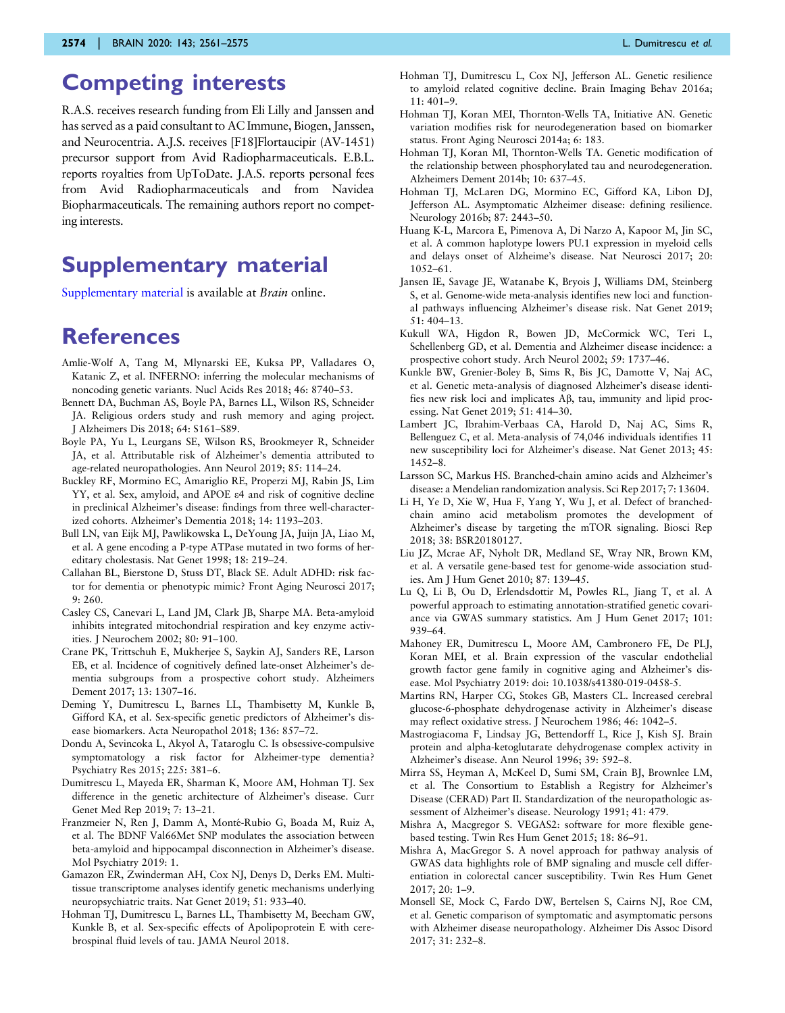# <span id="page-13-0"></span>Competing interests

R.A.S. receives research funding from Eli Lilly and Janssen and has served as a paid consultant to AC Immune, Biogen, Janssen, and Neurocentria. A.J.S. receives [F18]Flortaucipir (AV-1451) precursor support from Avid Radiopharmaceuticals. E.B.L. reports royalties from UpToDate. J.A.S. reports personal fees from Avid Radiopharmaceuticals and from Navidea Biopharmaceuticals. The remaining authors report no competing interests.

# Supplementary material

[Supplementary material](https://academic.oup.com/brain/article-lookup/doi/10.1093/brain/awaa209#supplementary-data) is available at *Brain* online.

# References

- Amlie-Wolf A, Tang M, Mlynarski EE, Kuksa PP, Valladares O, Katanic Z, et al. INFERNO: inferring the molecular mechanisms of noncoding genetic variants. Nucl Acids Res 2018; 46: 8740–53.
- Bennett DA, Buchman AS, Boyle PA, Barnes LL, Wilson RS, Schneider JA. Religious orders study and rush memory and aging project. J Alzheimers Dis 2018; 64: S161–S89.
- Boyle PA, Yu L, Leurgans SE, Wilson RS, Brookmeyer R, Schneider JA, et al. Attributable risk of Alzheimer's dementia attributed to age-related neuropathologies. Ann Neurol 2019; 85: 114–24.
- Buckley RF, Mormino EC, Amariglio RE, Properzi MJ, Rabin JS, Lim YY, et al. Sex, amyloid, and APOE  $\varepsilon$ 4 and risk of cognitive decline in preclinical Alzheimer's disease: findings from three well-characterized cohorts. Alzheimer's Dementia 2018; 14: 1193–203.
- Bull LN, van Eijk MJ, Pawlikowska L, DeYoung JA, Juijn JA, Liao M, et al. A gene encoding a P-type ATPase mutated in two forms of hereditary cholestasis. Nat Genet 1998; 18: 219–24.
- Callahan BL, Bierstone D, Stuss DT, Black SE. Adult ADHD: risk factor for dementia or phenotypic mimic? Front Aging Neurosci 2017; 9: 260.
- Casley CS, Canevari L, Land JM, Clark JB, Sharpe MA. Beta-amyloid inhibits integrated mitochondrial respiration and key enzyme activities. J Neurochem 2002; 80: 91–100.
- Crane PK, Trittschuh E, Mukherjee S, Saykin AJ, Sanders RE, Larson EB, et al. Incidence of cognitively defined late-onset Alzheimer's dementia subgroups from a prospective cohort study. Alzheimers Dement 2017; 13: 1307–16.
- Deming Y, Dumitrescu L, Barnes LL, Thambisetty M, Kunkle B, Gifford KA, et al. Sex-specific genetic predictors of Alzheimer's disease biomarkers. Acta Neuropathol 2018; 136: 857–72.
- Dondu A, Sevincoka L, Akyol A, Tataroglu C. Is obsessive-compulsive symptomatology a risk factor for Alzheimer-type dementia? Psychiatry Res 2015; 225: 381–6.
- Dumitrescu L, Mayeda ER, Sharman K, Moore AM, Hohman TJ. Sex difference in the genetic architecture of Alzheimer's disease. Curr Genet Med Rep 2019; 7: 13–21.
- Franzmeier N, Ren J, Damm A, Monté-Rubio G, Boada M, Ruiz A, et al. The BDNF Val66Met SNP modulates the association between beta-amyloid and hippocampal disconnection in Alzheimer's disease. Mol Psychiatry 2019: 1.
- Gamazon ER, Zwinderman AH, Cox NJ, Denys D, Derks EM. Multitissue transcriptome analyses identify genetic mechanisms underlying neuropsychiatric traits. Nat Genet 2019; 51: 933–40.
- Hohman TJ, Dumitrescu L, Barnes LL, Thambisetty M, Beecham GW, Kunkle B, et al. Sex-specific effects of Apolipoprotein E with cerebrospinal fluid levels of tau. JAMA Neurol 2018.
- Hohman TJ, Dumitrescu L, Cox NJ, Jefferson AL. Genetic resilience to amyloid related cognitive decline. Brain Imaging Behav 2016a; 11: 401–9.
- Hohman TJ, Koran MEI, Thornton-Wells TA, Initiative AN. Genetic variation modifies risk for neurodegeneration based on biomarker status. Front Aging Neurosci 2014a; 6: 183.
- Hohman TJ, Koran MI, Thornton-Wells TA. Genetic modification of the relationship between phosphorylated tau and neurodegeneration. Alzheimers Dement 2014b; 10: 637–45.
- Hohman TJ, McLaren DG, Mormino EC, Gifford KA, Libon DJ, Jefferson AL. Asymptomatic Alzheimer disease: defining resilience. Neurology 2016b; 87: 2443–50.
- Huang K-L, Marcora E, Pimenova A, Di Narzo A, Kapoor M, Jin SC, et al. A common haplotype lowers PU.1 expression in myeloid cells and delays onset of Alzheime's disease. Nat Neurosci 2017; 20: 1052–61.
- Jansen IE, Savage JE, Watanabe K, Bryois J, Williams DM, Steinberg S, et al. Genome-wide meta-analysis identifies new loci and functional pathways influencing Alzheimer's disease risk. Nat Genet 2019; 51: 404–13.
- Kukull WA, Higdon R, Bowen JD, McCormick WC, Teri L, Schellenberg GD, et al. Dementia and Alzheimer disease incidence: a prospective cohort study. Arch Neurol 2002; 59: 1737–46.
- Kunkle BW, Grenier-Boley B, Sims R, Bis JC, Damotte V, Naj AC, et al. Genetic meta-analysis of diagnosed Alzheimer's disease identifies new risk loci and implicates  $A\beta$ , tau, immunity and lipid processing. Nat Genet 2019; 51: 414–30.
- Lambert JC, Ibrahim-Verbaas CA, Harold D, Naj AC, Sims R, Bellenguez C, et al. Meta-analysis of 74,046 individuals identifies 11 new susceptibility loci for Alzheimer's disease. Nat Genet 2013; 45: 1452–8.
- Larsson SC, Markus HS. Branched-chain amino acids and Alzheimer's disease: a Mendelian randomization analysis. Sci Rep 2017; 7: 13604.
- Li H, Ye D, Xie W, Hua F, Yang Y, Wu J, et al. Defect of branchedchain amino acid metabolism promotes the development of Alzheimer's disease by targeting the mTOR signaling. Biosci Rep 2018; 38: BSR20180127.
- Liu JZ, Mcrae AF, Nyholt DR, Medland SE, Wray NR, Brown KM, et al. A versatile gene-based test for genome-wide association studies. Am J Hum Genet 2010; 87: 139–45.
- Lu Q, Li B, Ou D, Erlendsdottir M, Powles RL, Jiang T, et al. A powerful approach to estimating annotation-stratified genetic covariance via GWAS summary statistics. Am J Hum Genet 2017; 101: 939–64.
- Mahoney ER, Dumitrescu L, Moore AM, Cambronero FE, De PLJ, Koran MEI, et al. Brain expression of the vascular endothelial growth factor gene family in cognitive aging and Alzheimer's disease. Mol Psychiatry 2019: doi: 10.1038/s41380-019-0458-5.
- Martins RN, Harper CG, Stokes GB, Masters CL. Increased cerebral glucose-6-phosphate dehydrogenase activity in Alzheimer's disease may reflect oxidative stress. J Neurochem 1986; 46: 1042–5.
- Mastrogiacoma F, Lindsay JG, Bettendorff L, Rice J, Kish SJ. Brain protein and alpha-ketoglutarate dehydrogenase complex activity in Alzheimer's disease. Ann Neurol 1996; 39: 592–8.
- Mirra SS, Heyman A, McKeel D, Sumi SM, Crain BJ, Brownlee LM, et al. The Consortium to Establish a Registry for Alzheimer's Disease (CERAD) Part II. Standardization of the neuropathologic assessment of Alzheimer's disease. Neurology 1991; 41: 479.
- Mishra A, Macgregor S. VEGAS2: software for more flexible genebased testing. Twin Res Hum Genet 2015; 18: 86–91.
- Mishra A, MacGregor S. A novel approach for pathway analysis of GWAS data highlights role of BMP signaling and muscle cell differentiation in colorectal cancer susceptibility. Twin Res Hum Genet 2017; 20: 1–9.
- Monsell SE, Mock C, Fardo DW, Bertelsen S, Cairns NJ, Roe CM, et al. Genetic comparison of symptomatic and asymptomatic persons with Alzheimer disease neuropathology. Alzheimer Dis Assoc Disord 2017; 31: 232–8.